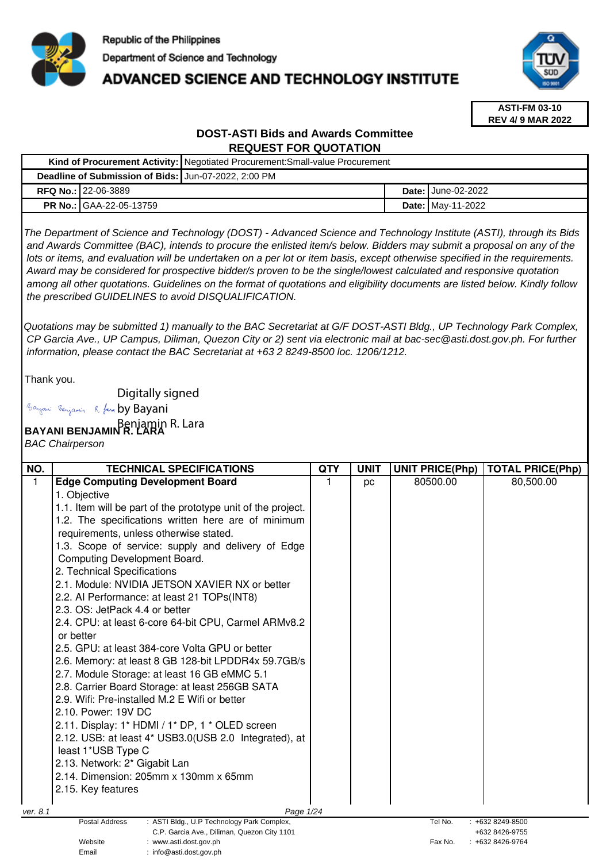

# **ADVANCED SCIENCE AND TECHNOLOGY INSTITUTE**



**ASTI-FM 03-10 REV 4/ 9 MAR 2022**

# **DOST-ASTI Bids and Awards Committee REQUEST FOR QUOTATION**

|                                                      |                                | Kind of Procurement Activity:   Negotiated Procurement: Small-value Procurement |  |                             |
|------------------------------------------------------|--------------------------------|---------------------------------------------------------------------------------|--|-----------------------------|
| Deadline of Submission of Bids: Jun-07-2022, 2:00 PM |                                |                                                                                 |  |                             |
|                                                      | <b>RFQ No.: 122-06-3889</b>    |                                                                                 |  | <b>Date: I</b> June-02-2022 |
|                                                      | <b>PR No.: GAA-22-05-13759</b> |                                                                                 |  | <b>Date: May-11-2022</b>    |

The Department of Science and Technology (DOST) - Advanced Science and Technology Institute (ASTI), through its Bids and Awards Committee (BAC), intends to procure the enlisted item/s below. Bidders may submit a proposal on any of the lots or items, and evaluation will be undertaken on a per lot or item basis, except otherwise specified in the requirements. Award may be considered for prospective bidder/s proven to be the single/lowest calculated and responsive quotation among all other quotations. Guidelines on the format of quotations and eligibility documents are listed below. Kindly follow the prescribed GUIDELINES to avoid DISQUALIFICATION.

Quotations may be submitted 1) manually to the BAC Secretariat at G/F DOST-ASTI Bldg., UP Technology Park Complex, CP Garcia Ave., UP Campus, Diliman, Quezon City or 2) sent via electronic mail at bac-sec@asti.dost.gov.ph. For further information, please contact the BAC Secretariat at +63 2 8249-8500 loc. 1206/1212.

Thank you.

Digitally signed

Bayani Benjamin R. fan by Bayani

# **BAYANI BENJAMIN R. LARA**  Benjamin R. Lara

Email : info@asti.dost.gov.ph

BAC Chairperson

| NO.      | <b>TECHNICAL SPECIFICATIONS</b>                                                  | <b>QTY</b> | <b>UNIT</b> | <b>UNIT PRICE(Php)</b> | <b>TOTAL PRICE(Php)</b> |
|----------|----------------------------------------------------------------------------------|------------|-------------|------------------------|-------------------------|
| 1.       | <b>Edge Computing Development Board</b>                                          | 1          | pc          | 80500.00               | 80,500.00               |
|          | 1. Objective                                                                     |            |             |                        |                         |
|          | 1.1. Item will be part of the prototype unit of the project.                     |            |             |                        |                         |
|          | 1.2. The specifications written here are of minimum                              |            |             |                        |                         |
|          | requirements, unless otherwise stated.                                           |            |             |                        |                         |
|          | 1.3. Scope of service: supply and delivery of Edge                               |            |             |                        |                         |
|          | Computing Development Board.                                                     |            |             |                        |                         |
|          | 2. Technical Specifications                                                      |            |             |                        |                         |
|          | 2.1. Module: NVIDIA JETSON XAVIER NX or better                                   |            |             |                        |                         |
|          | 2.2. Al Performance: at least 21 TOPs(INT8)                                      |            |             |                        |                         |
|          | 2.3. OS: JetPack 4.4 or better                                                   |            |             |                        |                         |
|          | 2.4. CPU: at least 6-core 64-bit CPU, Carmel ARMv8.2                             |            |             |                        |                         |
|          | or better                                                                        |            |             |                        |                         |
|          | 2.5. GPU: at least 384-core Volta GPU or better                                  |            |             |                        |                         |
|          | 2.6. Memory: at least 8 GB 128-bit LPDDR4x 59.7GB/s                              |            |             |                        |                         |
|          | 2.7. Module Storage: at least 16 GB eMMC 5.1                                     |            |             |                        |                         |
|          | 2.8. Carrier Board Storage: at least 256GB SATA                                  |            |             |                        |                         |
|          | 2.9. Wifi: Pre-installed M.2 E Wifi or better                                    |            |             |                        |                         |
|          | 2.10. Power: 19V DC                                                              |            |             |                        |                         |
|          | 2.11. Display: 1* HDMI / 1* DP, 1 * OLED screen                                  |            |             |                        |                         |
|          | 2.12. USB: at least 4* USB3.0(USB 2.0 Integrated), at                            |            |             |                        |                         |
|          | least 1*USB Type C                                                               |            |             |                        |                         |
|          | 2.13. Network: 2* Gigabit Lan                                                    |            |             |                        |                         |
|          | 2.14. Dimension: 205mm x 130mm x 65mm                                            |            |             |                        |                         |
|          | 2.15. Key features                                                               |            |             |                        |                         |
|          |                                                                                  |            |             |                        |                         |
| ver. 8.1 | Page 1/24<br><b>Postal Address</b><br>: ASTI Bldg., U.P Technology Park Complex, |            |             | Tel No.                | +632 8249-8500          |
|          | C.P. Garcia Ave., Diliman, Quezon City 1101                                      |            |             |                        | +632 8426-9755          |
|          | Website<br>: www.asti.dost.gov.ph                                                |            |             | Fax No.                | +632 8426-9764          |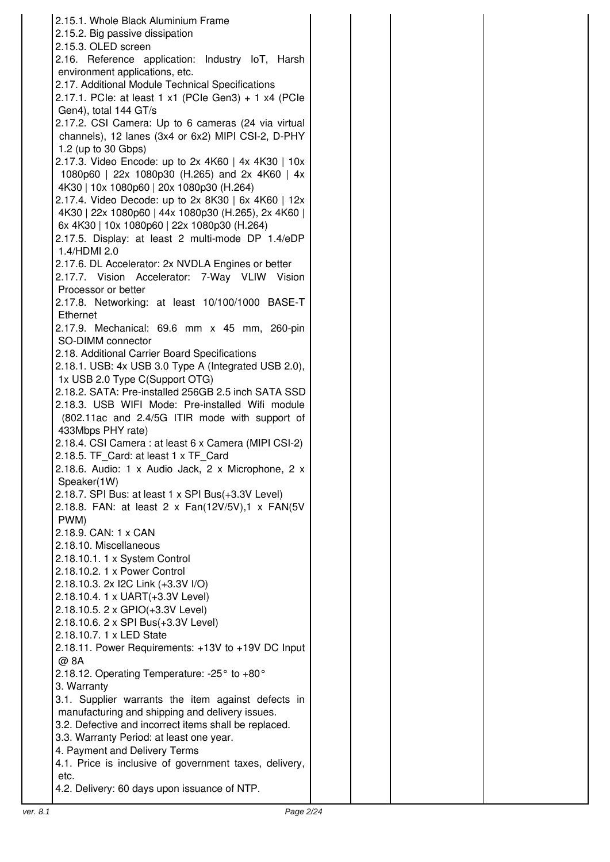| 2.15.1. Whole Black Aluminium Frame                    |  |
|--------------------------------------------------------|--|
|                                                        |  |
| 2.15.2. Big passive dissipation                        |  |
| 2.15.3. OLED screen                                    |  |
| 2.16. Reference application: Industry IoT, Harsh       |  |
| environment applications, etc.                         |  |
| 2.17. Additional Module Technical Specifications       |  |
| 2.17.1. PCle: at least 1 x1 (PCle Gen3) + 1 x4 (PCle   |  |
| Gen4), total 144 GT/s                                  |  |
| 2.17.2. CSI Camera: Up to 6 cameras (24 via virtual    |  |
| channels), 12 lanes (3x4 or 6x2) MIPI CSI-2, D-PHY     |  |
|                                                        |  |
| 1.2 (up to 30 Gbps)                                    |  |
| 2.17.3. Video Encode: up to 2x 4K60   4x 4K30   10x    |  |
| 1080p60   22x 1080p30 (H.265) and 2x 4K60   4x         |  |
| 4K30   10x 1080p60   20x 1080p30 (H.264)               |  |
| 2.17.4. Video Decode: up to 2x 8K30   6x 4K60   12x    |  |
| 4K30   22x 1080p60   44x 1080p30 (H.265), 2x 4K60      |  |
| 6x 4K30   10x 1080p60   22x 1080p30 (H.264)            |  |
| 2.17.5. Display: at least 2 multi-mode DP 1.4/eDP      |  |
| 1.4/HDMI 2.0                                           |  |
| 2.17.6. DL Accelerator: 2x NVDLA Engines or better     |  |
| 2.17.7. Vision Accelerator: 7-Way VLIW Vision          |  |
|                                                        |  |
| Processor or better                                    |  |
| 2.17.8. Networking: at least 10/100/1000 BASE-T        |  |
| Ethernet                                               |  |
| 2.17.9. Mechanical: 69.6 mm x 45 mm, 260-pin           |  |
| SO-DIMM connector                                      |  |
| 2.18. Additional Carrier Board Specifications          |  |
| 2.18.1. USB: 4x USB 3.0 Type A (Integrated USB 2.0),   |  |
| 1x USB 2.0 Type C(Support OTG)                         |  |
| 2.18.2. SATA: Pre-installed 256GB 2.5 inch SATA SSD    |  |
| 2.18.3. USB WIFI Mode: Pre-installed Wifi module       |  |
| (802.11ac and 2.4/5G ITIR mode with support of         |  |
| 433Mbps PHY rate)                                      |  |
|                                                        |  |
| 2.18.4. CSI Camera : at least 6 x Camera (MIPI CSI-2)  |  |
| 2.18.5. TF_Card: at least 1 x TF_Card                  |  |
| 2.18.6. Audio: 1 x Audio Jack, 2 x Microphone, 2 x     |  |
| Speaker(1W)                                            |  |
| 2.18.7. SPI Bus: at least 1 x SPI Bus(+3.3V Level)     |  |
| 2.18.8. FAN: at least 2 x Fan(12V/5V),1 x FAN(5V       |  |
| PWM)                                                   |  |
| 2.18.9. CAN: 1 x CAN                                   |  |
| 2.18.10. Miscellaneous                                 |  |
| 2.18.10.1. 1 x System Control                          |  |
| 2.18.10.2. 1 x Power Control                           |  |
|                                                        |  |
| 2.18.10.3. 2x I2C Link (+3.3V I/O)                     |  |
| 2.18.10.4. 1 x UART(+3.3V Level)                       |  |
| 2.18.10.5. 2 x GPIO(+3.3V Level)                       |  |
| 2.18.10.6. 2 x SPI Bus(+3.3V Level)                    |  |
| 2.18.10.7.1 x LED State                                |  |
| 2.18.11. Power Requirements: +13V to +19V DC Input     |  |
| @ 8A                                                   |  |
| 2.18.12. Operating Temperature: -25° to +80°           |  |
| 3. Warranty                                            |  |
| 3.1. Supplier warrants the item against defects in     |  |
| manufacturing and shipping and delivery issues.        |  |
|                                                        |  |
| 3.2. Defective and incorrect items shall be replaced.  |  |
| 3.3. Warranty Period: at least one year.               |  |
| 4. Payment and Delivery Terms                          |  |
| 4.1. Price is inclusive of government taxes, delivery, |  |
| etc.                                                   |  |
| 4.2. Delivery: 60 days upon issuance of NTP.           |  |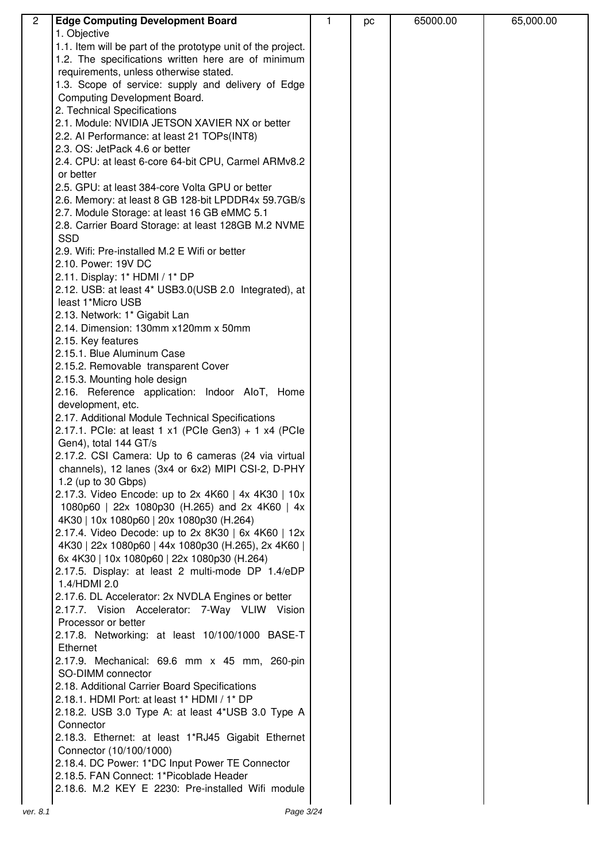| $\overline{2}$ | <b>Edge Computing Development Board</b>                                                         | 1 | pc | 65000.00 | 65,000.00 |
|----------------|-------------------------------------------------------------------------------------------------|---|----|----------|-----------|
|                | 1. Objective                                                                                    |   |    |          |           |
|                | 1.1. Item will be part of the prototype unit of the project.                                    |   |    |          |           |
|                | 1.2. The specifications written here are of minimum                                             |   |    |          |           |
|                | requirements, unless otherwise stated.                                                          |   |    |          |           |
|                | 1.3. Scope of service: supply and delivery of Edge                                              |   |    |          |           |
|                | Computing Development Board.                                                                    |   |    |          |           |
|                | 2. Technical Specifications                                                                     |   |    |          |           |
|                | 2.1. Module: NVIDIA JETSON XAVIER NX or better                                                  |   |    |          |           |
|                | 2.2. Al Performance: at least 21 TOPs(INT8)                                                     |   |    |          |           |
|                | 2.3. OS: JetPack 4.6 or better                                                                  |   |    |          |           |
|                | 2.4. CPU: at least 6-core 64-bit CPU, Carmel ARMv8.2                                            |   |    |          |           |
|                | or better                                                                                       |   |    |          |           |
|                | 2.5. GPU: at least 384-core Volta GPU or better                                                 |   |    |          |           |
|                | 2.6. Memory: at least 8 GB 128-bit LPDDR4x 59.7GB/s                                             |   |    |          |           |
|                | 2.7. Module Storage: at least 16 GB eMMC 5.1                                                    |   |    |          |           |
|                | 2.8. Carrier Board Storage: at least 128GB M.2 NVME                                             |   |    |          |           |
|                | <b>SSD</b>                                                                                      |   |    |          |           |
|                | 2.9. Wifi: Pre-installed M.2 E Wifi or better                                                   |   |    |          |           |
|                | 2.10. Power: 19V DC                                                                             |   |    |          |           |
|                | 2.11. Display: 1* HDMI / 1* DP                                                                  |   |    |          |           |
|                | 2.12. USB: at least 4* USB3.0(USB 2.0 Integrated), at                                           |   |    |          |           |
|                | least 1*Micro USB                                                                               |   |    |          |           |
|                | 2.13. Network: 1* Gigabit Lan                                                                   |   |    |          |           |
|                | 2.14. Dimension: 130mm x120mm x 50mm                                                            |   |    |          |           |
|                | 2.15. Key features                                                                              |   |    |          |           |
|                | 2.15.1. Blue Aluminum Case                                                                      |   |    |          |           |
|                | 2.15.2. Removable transparent Cover                                                             |   |    |          |           |
|                | 2.15.3. Mounting hole design                                                                    |   |    |          |           |
|                | 2.16. Reference application: Indoor AloT, Home                                                  |   |    |          |           |
|                | development, etc.                                                                               |   |    |          |           |
|                | 2.17. Additional Module Technical Specifications                                                |   |    |          |           |
|                | 2.17.1. PCle: at least 1 x1 (PCle Gen3) + 1 x4 (PCle                                            |   |    |          |           |
|                | Gen4), total 144 GT/s                                                                           |   |    |          |           |
|                | 2.17.2. CSI Camera: Up to 6 cameras (24 via virtual                                             |   |    |          |           |
|                | channels), 12 lanes (3x4 or 6x2) MIPI CSI-2, D-PHY                                              |   |    |          |           |
|                | 1.2 (up to 30 Gbps)                                                                             |   |    |          |           |
|                | 2.17.3. Video Encode: up to 2x 4K60   4x 4K30   10x                                             |   |    |          |           |
|                | 1080p60   22x 1080p30 (H.265) and 2x 4K60   4x                                                  |   |    |          |           |
|                | 4K30   10x 1080p60   20x 1080p30 (H.264)<br>2.17.4. Video Decode: up to 2x 8K30   6x 4K60   12x |   |    |          |           |
|                | 4K30   22x 1080p60   44x 1080p30 (H.265), 2x 4K60                                               |   |    |          |           |
|                | 6x 4K30   10x 1080p60   22x 1080p30 (H.264)                                                     |   |    |          |           |
|                | 2.17.5. Display: at least 2 multi-mode DP 1.4/eDP                                               |   |    |          |           |
|                | 1.4/HDMI 2.0                                                                                    |   |    |          |           |
|                | 2.17.6. DL Accelerator: 2x NVDLA Engines or better                                              |   |    |          |           |
|                | 2.17.7. Vision Accelerator: 7-Way VLIW Vision                                                   |   |    |          |           |
|                | Processor or better                                                                             |   |    |          |           |
|                | 2.17.8. Networking: at least 10/100/1000 BASE-T                                                 |   |    |          |           |
|                | Ethernet                                                                                        |   |    |          |           |
|                | 2.17.9. Mechanical: 69.6 mm x 45 mm, 260-pin                                                    |   |    |          |           |
|                | SO-DIMM connector                                                                               |   |    |          |           |
|                | 2.18. Additional Carrier Board Specifications                                                   |   |    |          |           |
|                | 2.18.1. HDMI Port: at least 1* HDMI / 1* DP                                                     |   |    |          |           |
|                | 2.18.2. USB 3.0 Type A: at least 4*USB 3.0 Type A                                               |   |    |          |           |
|                | Connector                                                                                       |   |    |          |           |
|                | 2.18.3. Ethernet: at least 1*RJ45 Gigabit Ethernet                                              |   |    |          |           |
|                | Connector (10/100/1000)                                                                         |   |    |          |           |
|                | 2.18.4. DC Power: 1*DC Input Power TE Connector                                                 |   |    |          |           |
|                | 2.18.5. FAN Connect: 1*Picoblade Header                                                         |   |    |          |           |
|                | 2.18.6. M.2 KEY E 2230: Pre-installed Wifi module                                               |   |    |          |           |
|                |                                                                                                 |   |    |          |           |
| ver. 8.1       | Page 3/24                                                                                       |   |    |          |           |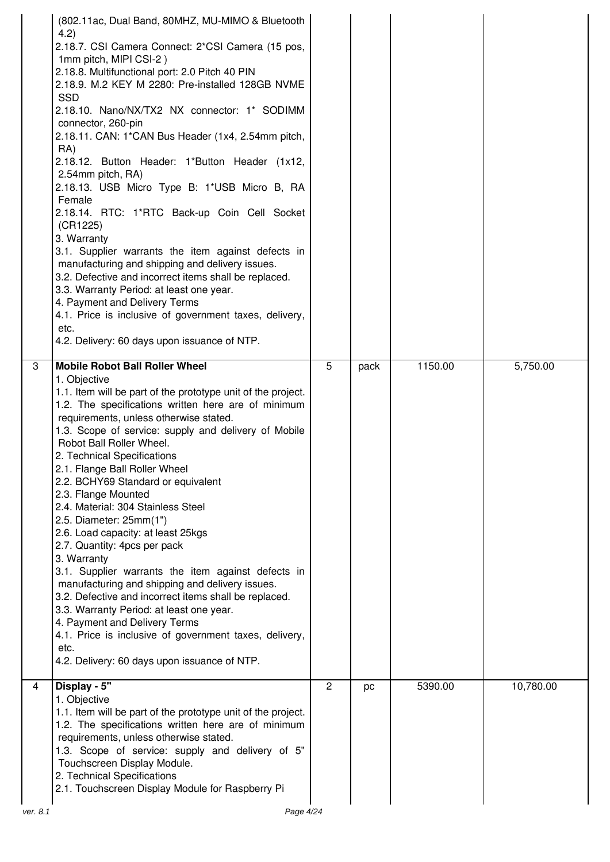|          | (802.11ac, Dual Band, 80MHZ, MU-MIMO & Bluetooth<br>4.2)<br>2.18.7. CSI Camera Connect: 2*CSI Camera (15 pos,<br>1mm pitch, MIPI CSI-2)<br>2.18.8. Multifunctional port: 2.0 Pitch 40 PIN<br>2.18.9. M.2 KEY M 2280: Pre-installed 128GB NVME<br><b>SSD</b><br>2.18.10. Nano/NX/TX2 NX connector: 1* SODIMM<br>connector, 260-pin<br>2.18.11. CAN: 1*CAN Bus Header (1x4, 2.54mm pitch,<br>RA)<br>2.18.12. Button Header: 1*Button Header (1x12,<br>2.54mm pitch, RA)<br>2.18.13. USB Micro Type B: 1*USB Micro B, RA<br>Female<br>2.18.14. RTC: 1*RTC Back-up Coin Cell Socket<br>(CR1225)<br>3. Warranty<br>3.1. Supplier warrants the item against defects in<br>manufacturing and shipping and delivery issues.<br>3.2. Defective and incorrect items shall be replaced.<br>3.3. Warranty Period: at least one year.<br>4. Payment and Delivery Terms<br>4.1. Price is inclusive of government taxes, delivery,<br>etc.<br>4.2. Delivery: 60 days upon issuance of NTP. |              |      |         |           |
|----------|-----------------------------------------------------------------------------------------------------------------------------------------------------------------------------------------------------------------------------------------------------------------------------------------------------------------------------------------------------------------------------------------------------------------------------------------------------------------------------------------------------------------------------------------------------------------------------------------------------------------------------------------------------------------------------------------------------------------------------------------------------------------------------------------------------------------------------------------------------------------------------------------------------------------------------------------------------------------------------|--------------|------|---------|-----------|
| 3        | <b>Mobile Robot Ball Roller Wheel</b><br>1. Objective<br>1.1. Item will be part of the prototype unit of the project.<br>1.2. The specifications written here are of minimum<br>requirements, unless otherwise stated.<br>1.3. Scope of service: supply and delivery of Mobile<br>Robot Ball Roller Wheel.<br>2. Technical Specifications<br>2.1. Flange Ball Roller Wheel<br>2.2. BCHY69 Standard or equivalent<br>2.3. Flange Mounted<br>2.4. Material: 304 Stainless Steel<br>2.5. Diameter: 25mm(1")<br>2.6. Load capacity: at least 25kgs<br>2.7. Quantity: 4pcs per pack<br>3. Warranty<br>3.1. Supplier warrants the item against defects in<br>manufacturing and shipping and delivery issues.<br>3.2. Defective and incorrect items shall be replaced.<br>3.3. Warranty Period: at least one year.<br>4. Payment and Delivery Terms<br>4.1. Price is inclusive of government taxes, delivery,<br>etc.<br>4.2. Delivery: 60 days upon issuance of NTP.              | 5            | pack | 1150.00 | 5,750.00  |
| 4        | Display - 5"<br>1. Objective<br>1.1. Item will be part of the prototype unit of the project.<br>1.2. The specifications written here are of minimum<br>requirements, unless otherwise stated.<br>1.3. Scope of service: supply and delivery of 5"<br>Touchscreen Display Module.<br>2. Technical Specifications<br>2.1. Touchscreen Display Module for Raspberry Pi                                                                                                                                                                                                                                                                                                                                                                                                                                                                                                                                                                                                         | $\mathbf{2}$ | pc   | 5390.00 | 10,780.00 |
| ver. 8.1 | Page 4/24                                                                                                                                                                                                                                                                                                                                                                                                                                                                                                                                                                                                                                                                                                                                                                                                                                                                                                                                                                   |              |      |         |           |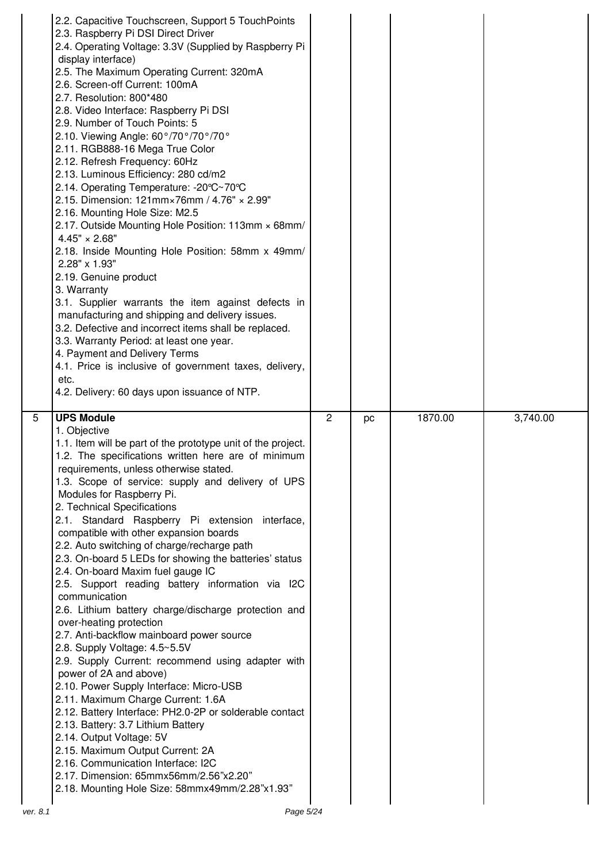|   | 2.2. Capacitive Touchscreen, Support 5 TouchPoints<br>2.3. Raspberry Pi DSI Direct Driver<br>2.4. Operating Voltage: 3.3V (Supplied by Raspberry Pi<br>display interface)<br>2.5. The Maximum Operating Current: 320mA<br>2.6. Screen-off Current: 100mA<br>2.7. Resolution: 800*480<br>2.8. Video Interface: Raspberry Pi DSI<br>2.9. Number of Touch Points: 5<br>2.10. Viewing Angle: 60°/70°/70°/70°<br>2.11. RGB888-16 Mega True Color<br>2.12. Refresh Frequency: 60Hz<br>2.13. Luminous Efficiency: 280 cd/m2<br>2.14. Operating Temperature: -20°C~70°C<br>2.15. Dimension: 121mm×76mm / 4.76" × 2.99"<br>2.16. Mounting Hole Size: M2.5<br>2.17. Outside Mounting Hole Position: 113mm × 68mm/<br>$4.45" \times 2.68"$<br>2.18. Inside Mounting Hole Position: 58mm x 49mm/<br>2.28" x 1.93"<br>2.19. Genuine product<br>3. Warranty<br>3.1. Supplier warrants the item against defects in<br>manufacturing and shipping and delivery issues.<br>3.2. Defective and incorrect items shall be replaced.<br>3.3. Warranty Period: at least one year.<br>4. Payment and Delivery Terms<br>4.1. Price is inclusive of government taxes, delivery,<br>etc.<br>4.2. Delivery: 60 days upon issuance of NTP. |   |    |         |          |
|---|----------------------------------------------------------------------------------------------------------------------------------------------------------------------------------------------------------------------------------------------------------------------------------------------------------------------------------------------------------------------------------------------------------------------------------------------------------------------------------------------------------------------------------------------------------------------------------------------------------------------------------------------------------------------------------------------------------------------------------------------------------------------------------------------------------------------------------------------------------------------------------------------------------------------------------------------------------------------------------------------------------------------------------------------------------------------------------------------------------------------------------------------------------------------------------------------------------------|---|----|---------|----------|
| 5 |                                                                                                                                                                                                                                                                                                                                                                                                                                                                                                                                                                                                                                                                                                                                                                                                                                                                                                                                                                                                                                                                                                                                                                                                                |   |    |         |          |
|   | <b>UPS Module</b><br>1. Objective                                                                                                                                                                                                                                                                                                                                                                                                                                                                                                                                                                                                                                                                                                                                                                                                                                                                                                                                                                                                                                                                                                                                                                              | 2 | pc | 1870.00 | 3,740.00 |
|   | 1.1. Item will be part of the prototype unit of the project.<br>1.2. The specifications written here are of minimum<br>requirements, unless otherwise stated.<br>1.3. Scope of service: supply and delivery of UPS                                                                                                                                                                                                                                                                                                                                                                                                                                                                                                                                                                                                                                                                                                                                                                                                                                                                                                                                                                                             |   |    |         |          |
|   | Modules for Raspberry Pi.<br>2. Technical Specifications                                                                                                                                                                                                                                                                                                                                                                                                                                                                                                                                                                                                                                                                                                                                                                                                                                                                                                                                                                                                                                                                                                                                                       |   |    |         |          |
|   | 2.1. Standard Raspberry Pi extension interface,<br>compatible with other expansion boards                                                                                                                                                                                                                                                                                                                                                                                                                                                                                                                                                                                                                                                                                                                                                                                                                                                                                                                                                                                                                                                                                                                      |   |    |         |          |
|   | 2.2. Auto switching of charge/recharge path<br>2.3. On-board 5 LEDs for showing the batteries' status                                                                                                                                                                                                                                                                                                                                                                                                                                                                                                                                                                                                                                                                                                                                                                                                                                                                                                                                                                                                                                                                                                          |   |    |         |          |
|   | 2.4. On-board Maxim fuel gauge IC<br>2.5. Support reading battery information via I2C                                                                                                                                                                                                                                                                                                                                                                                                                                                                                                                                                                                                                                                                                                                                                                                                                                                                                                                                                                                                                                                                                                                          |   |    |         |          |
|   | communication<br>2.6. Lithium battery charge/discharge protection and                                                                                                                                                                                                                                                                                                                                                                                                                                                                                                                                                                                                                                                                                                                                                                                                                                                                                                                                                                                                                                                                                                                                          |   |    |         |          |
|   | over-heating protection<br>2.7. Anti-backflow mainboard power source                                                                                                                                                                                                                                                                                                                                                                                                                                                                                                                                                                                                                                                                                                                                                                                                                                                                                                                                                                                                                                                                                                                                           |   |    |         |          |
|   | 2.8. Supply Voltage: 4.5~5.5V<br>2.9. Supply Current: recommend using adapter with                                                                                                                                                                                                                                                                                                                                                                                                                                                                                                                                                                                                                                                                                                                                                                                                                                                                                                                                                                                                                                                                                                                             |   |    |         |          |
|   | power of 2A and above)<br>2.10. Power Supply Interface: Micro-USB                                                                                                                                                                                                                                                                                                                                                                                                                                                                                                                                                                                                                                                                                                                                                                                                                                                                                                                                                                                                                                                                                                                                              |   |    |         |          |
|   | 2.11. Maximum Charge Current: 1.6A<br>2.12. Battery Interface: PH2.0-2P or solderable contact                                                                                                                                                                                                                                                                                                                                                                                                                                                                                                                                                                                                                                                                                                                                                                                                                                                                                                                                                                                                                                                                                                                  |   |    |         |          |
|   | 2.13. Battery: 3.7 Lithium Battery<br>2.14. Output Voltage: 5V                                                                                                                                                                                                                                                                                                                                                                                                                                                                                                                                                                                                                                                                                                                                                                                                                                                                                                                                                                                                                                                                                                                                                 |   |    |         |          |
|   | 2.15. Maximum Output Current: 2A<br>2.16. Communication Interface: I2C<br>2.17. Dimension: 65mmx56mm/2.56"x2.20"                                                                                                                                                                                                                                                                                                                                                                                                                                                                                                                                                                                                                                                                                                                                                                                                                                                                                                                                                                                                                                                                                               |   |    |         |          |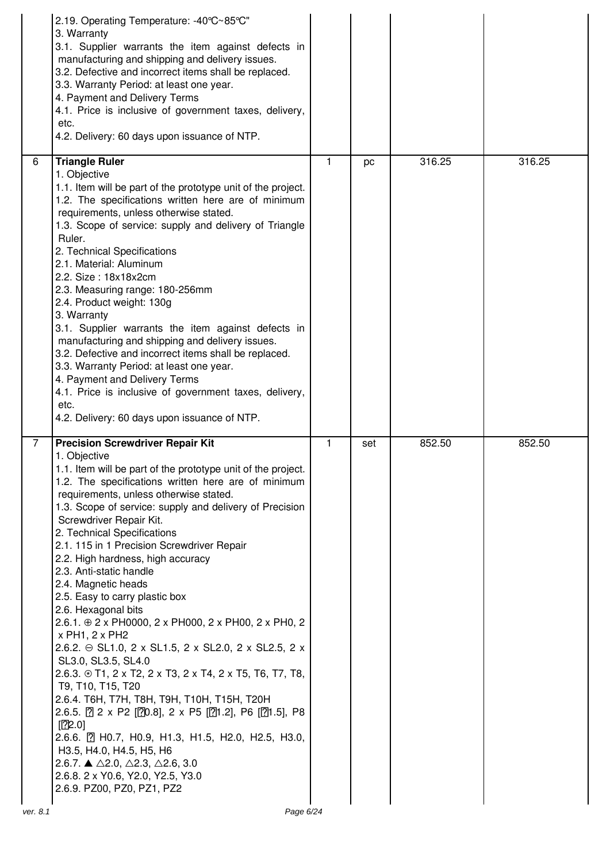|                | 2.19. Operating Temperature: -40°C~85°C"<br>3. Warranty<br>3.1. Supplier warrants the item against defects in<br>manufacturing and shipping and delivery issues.<br>3.2. Defective and incorrect items shall be replaced.<br>3.3. Warranty Period: at least one year.<br>4. Payment and Delivery Terms<br>4.1. Price is inclusive of government taxes, delivery,<br>etc.<br>4.2. Delivery: 60 days upon issuance of NTP.                                                                                                                                                                                                                                                                                                                                                                                                                                                                                                                                                                                                                                                                                                                        |   |     |        |        |
|----------------|-------------------------------------------------------------------------------------------------------------------------------------------------------------------------------------------------------------------------------------------------------------------------------------------------------------------------------------------------------------------------------------------------------------------------------------------------------------------------------------------------------------------------------------------------------------------------------------------------------------------------------------------------------------------------------------------------------------------------------------------------------------------------------------------------------------------------------------------------------------------------------------------------------------------------------------------------------------------------------------------------------------------------------------------------------------------------------------------------------------------------------------------------|---|-----|--------|--------|
| 6              | <b>Triangle Ruler</b><br>1. Objective<br>1.1. Item will be part of the prototype unit of the project.<br>1.2. The specifications written here are of minimum<br>requirements, unless otherwise stated.<br>1.3. Scope of service: supply and delivery of Triangle<br>Ruler.<br>2. Technical Specifications<br>2.1. Material: Aluminum<br>2.2. Size: 18x18x2cm<br>2.3. Measuring range: 180-256mm<br>2.4. Product weight: 130g<br>3. Warranty<br>3.1. Supplier warrants the item against defects in<br>manufacturing and shipping and delivery issues.<br>3.2. Defective and incorrect items shall be replaced.<br>3.3. Warranty Period: at least one year.<br>4. Payment and Delivery Terms<br>4.1. Price is inclusive of government taxes, delivery,<br>etc.<br>4.2. Delivery: 60 days upon issuance of NTP.                                                                                                                                                                                                                                                                                                                                    | 1 | pc  | 316.25 | 316.25 |
| $\overline{7}$ | <b>Precision Screwdriver Repair Kit</b><br>1. Objective<br>1.1. Item will be part of the prototype unit of the project.<br>1.2. The specifications written here are of minimum<br>requirements, unless otherwise stated.<br>1.3. Scope of service: supply and delivery of Precision<br>Screwdriver Repair Kit.<br>2. Technical Specifications<br>2.1. 115 in 1 Precision Screwdriver Repair<br>2.2. High hardness, high accuracy<br>2.3. Anti-static handle<br>2.4. Magnetic heads<br>2.5. Easy to carry plastic box<br>2.6. Hexagonal bits<br>2.6.1. $\oplus$ 2 x PH0000, 2 x PH000, 2 x PH00, 2 x PH0, 2<br>x PH1, 2 x PH2<br>2.6.2. → SL1.0, 2 x SL1.5, 2 x SL2.0, 2 x SL2.5, 2 x<br>SL3.0, SL3.5, SL4.0<br>2.6.3. $\circledast$ T1, 2 x T2, 2 x T3, 2 x T4, 2 x T5, T6, T7, T8,<br>T9, T10, T15, T20<br>2.6.4. Т6Н, Т7Н, Т8Н, Т9Н, Т10Н, Т15Н, Т20Н<br>2.6.5. 2 x P2 [20.8], 2 x P5 [21.2], P6 [21.5], P8<br>[22.0]<br>2.6.6. 2 HO.7, HO.9, H1.3, H1.5, H2.0, H2.5, H3.0,<br>H3.5, H4.0, H4.5, H5, H6<br>2.6.7. ▲ $\triangle$ 2.0, $\triangle$ 2.3, $\triangle$ 2.6, 3.0<br>2.6.8. 2 x Y0.6, Y2.0, Y2.5, Y3.0<br>2.6.9. PZ00, PZ0, PZ1, PZ2 | 1 | set | 852.50 | 852.50 |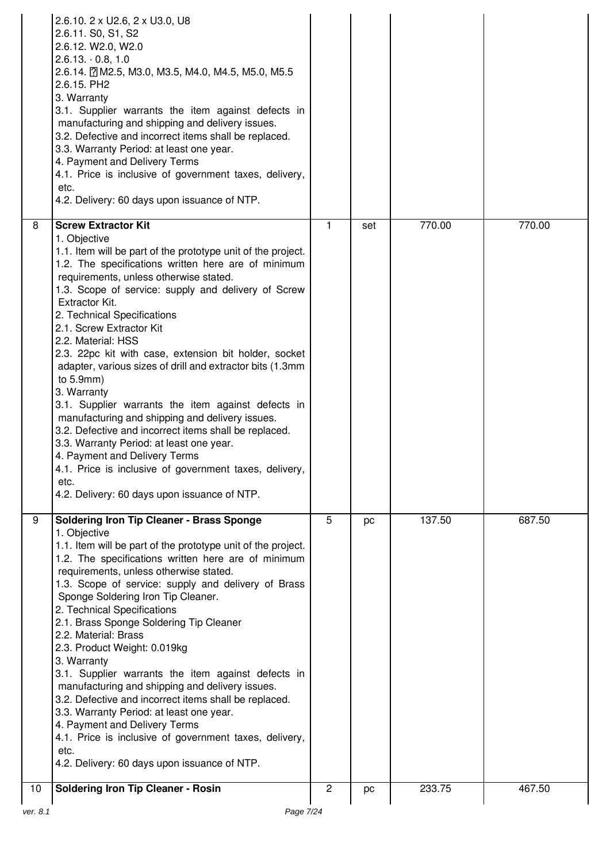|    | 2.6.10. 2 x U2.6, 2 x U3.0, U8<br>2.6.11. S0, S1, S2<br>2.6.12. W2.0, W2.0<br>$2.6.13 \cdot 0.8, 1.0$<br>2.6.14. 2 M2.5, M3.0, M3.5, M4.0, M4.5, M5.0, M5.5<br>2.6.15. PH2<br>3. Warranty<br>3.1. Supplier warrants the item against defects in<br>manufacturing and shipping and delivery issues.<br>3.2. Defective and incorrect items shall be replaced.<br>3.3. Warranty Period: at least one year.<br>4. Payment and Delivery Terms<br>4.1. Price is inclusive of government taxes, delivery,<br>etc.<br>4.2. Delivery: 60 days upon issuance of NTP.                                                                                                                                                                                                                                                                                                                                  |                |     |        |        |
|----|---------------------------------------------------------------------------------------------------------------------------------------------------------------------------------------------------------------------------------------------------------------------------------------------------------------------------------------------------------------------------------------------------------------------------------------------------------------------------------------------------------------------------------------------------------------------------------------------------------------------------------------------------------------------------------------------------------------------------------------------------------------------------------------------------------------------------------------------------------------------------------------------|----------------|-----|--------|--------|
| 8  | <b>Screw Extractor Kit</b><br>1. Objective<br>1.1. Item will be part of the prototype unit of the project.<br>1.2. The specifications written here are of minimum<br>requirements, unless otherwise stated.<br>1.3. Scope of service: supply and delivery of Screw<br>Extractor Kit.<br>2. Technical Specifications<br>2.1. Screw Extractor Kit<br>2.2. Material: HSS<br>2.3. 22pc kit with case, extension bit holder, socket<br>adapter, various sizes of drill and extractor bits (1.3mm<br>to $5.9$ mm)<br>3. Warranty<br>3.1. Supplier warrants the item against defects in<br>manufacturing and shipping and delivery issues.<br>3.2. Defective and incorrect items shall be replaced.<br>3.3. Warranty Period: at least one year.<br>4. Payment and Delivery Terms<br>4.1. Price is inclusive of government taxes, delivery,<br>etc.<br>4.2. Delivery: 60 days upon issuance of NTP. | 1              | set | 770.00 | 770.00 |
| 9  | <b>Soldering Iron Tip Cleaner - Brass Sponge</b><br>1. Objective<br>1.1. Item will be part of the prototype unit of the project.<br>1.2. The specifications written here are of minimum<br>requirements, unless otherwise stated.<br>1.3. Scope of service: supply and delivery of Brass<br>Sponge Soldering Iron Tip Cleaner.<br>2. Technical Specifications<br>2.1. Brass Sponge Soldering Tip Cleaner<br>2.2. Material: Brass<br>2.3. Product Weight: 0.019kg<br>3. Warranty<br>3.1. Supplier warrants the item against defects in<br>manufacturing and shipping and delivery issues.<br>3.2. Defective and incorrect items shall be replaced.<br>3.3. Warranty Period: at least one year.<br>4. Payment and Delivery Terms<br>4.1. Price is inclusive of government taxes, delivery,<br>etc.<br>4.2. Delivery: 60 days upon issuance of NTP.                                            | $\overline{5}$ | pc  | 137.50 | 687.50 |
| 10 | <b>Soldering Iron Tip Cleaner - Rosin</b>                                                                                                                                                                                                                                                                                                                                                                                                                                                                                                                                                                                                                                                                                                                                                                                                                                                   | $\overline{c}$ | pc  | 233.75 | 467.50 |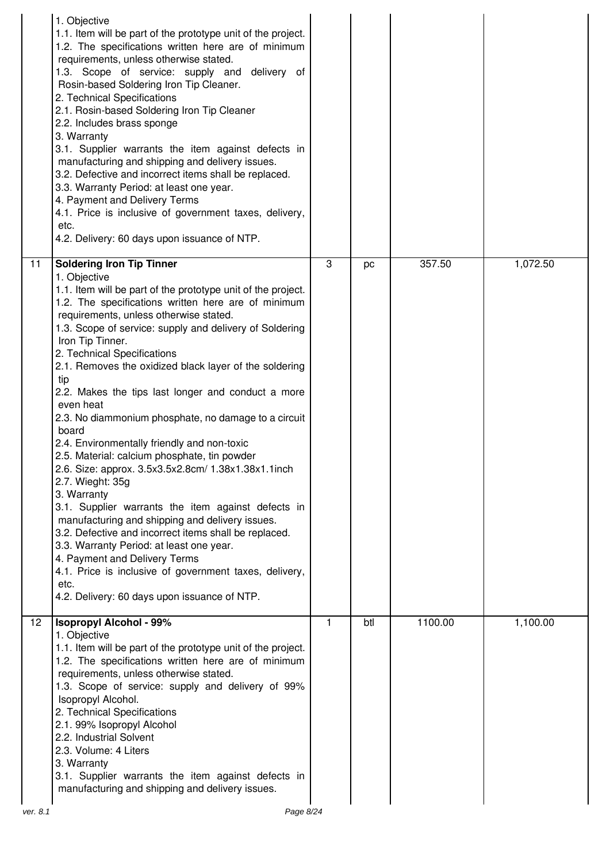| 1. Objective<br>1.1. Item will be part of the prototype unit of the project.<br>1.2. The specifications written here are of minimum<br>requirements, unless otherwise stated.<br>1.3. Scope of service: supply and delivery of<br>Rosin-based Soldering Iron Tip Cleaner.<br>2. Technical Specifications<br>2.1. Rosin-based Soldering Iron Tip Cleaner<br>2.2. Includes brass sponge<br>3. Warranty<br>3.1. Supplier warrants the item against defects in<br>manufacturing and shipping and delivery issues.<br>3.2. Defective and incorrect items shall be replaced.<br>3.3. Warranty Period: at least one year.<br>4. Payment and Delivery Terms<br>4.1. Price is inclusive of government taxes, delivery,<br>etc.<br>4.2. Delivery: 60 days upon issuance of NTP.                                                                                                                                                                                                                                                                                                                                |   |     |         |          |
|------------------------------------------------------------------------------------------------------------------------------------------------------------------------------------------------------------------------------------------------------------------------------------------------------------------------------------------------------------------------------------------------------------------------------------------------------------------------------------------------------------------------------------------------------------------------------------------------------------------------------------------------------------------------------------------------------------------------------------------------------------------------------------------------------------------------------------------------------------------------------------------------------------------------------------------------------------------------------------------------------------------------------------------------------------------------------------------------------|---|-----|---------|----------|
| 11<br><b>Soldering Iron Tip Tinner</b><br>1. Objective<br>1.1. Item will be part of the prototype unit of the project.<br>1.2. The specifications written here are of minimum<br>requirements, unless otherwise stated.<br>1.3. Scope of service: supply and delivery of Soldering<br>Iron Tip Tinner.<br>2. Technical Specifications<br>2.1. Removes the oxidized black layer of the soldering<br>tip<br>2.2. Makes the tips last longer and conduct a more<br>even heat<br>2.3. No diammonium phosphate, no damage to a circuit<br>board<br>2.4. Environmentally friendly and non-toxic<br>2.5. Material: calcium phosphate, tin powder<br>2.6. Size: approx. 3.5x3.5x2.8cm/ 1.38x1.38x1.1inch<br>2.7. Wieght: 35g<br>3. Warranty<br>3.1. Supplier warrants the item against defects in<br>manufacturing and shipping and delivery issues.<br>3.2. Defective and incorrect items shall be replaced.<br>3.3. Warranty Period: at least one year.<br>4. Payment and Delivery Terms<br>4.1. Price is inclusive of government taxes, delivery,<br>etc.<br>4.2. Delivery: 60 days upon issuance of NTP. | 3 | pc  | 357.50  | 1,072.50 |
| $\overline{12}$<br><b>Isopropyl Alcohol - 99%</b><br>1. Objective<br>1.1. Item will be part of the prototype unit of the project.<br>1.2. The specifications written here are of minimum<br>requirements, unless otherwise stated.<br>1.3. Scope of service: supply and delivery of 99%<br>Isopropyl Alcohol.<br>2. Technical Specifications<br>2.1. 99% Isopropyl Alcohol<br>2.2. Industrial Solvent<br>2.3. Volume: 4 Liters<br>3. Warranty<br>3.1. Supplier warrants the item against defects in<br>manufacturing and shipping and delivery issues.                                                                                                                                                                                                                                                                                                                                                                                                                                                                                                                                               | 1 | btl | 1100.00 | 1,100.00 |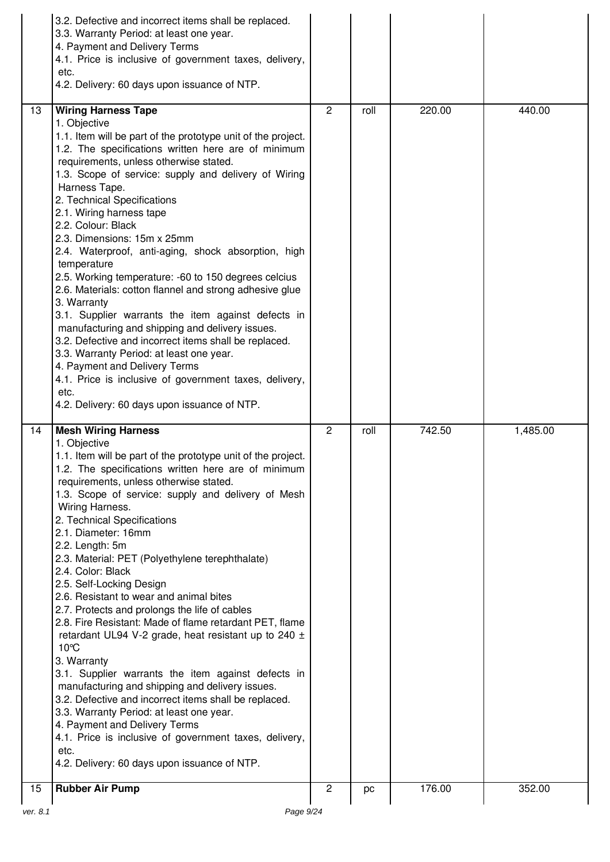|          | 3.2. Defective and incorrect items shall be replaced.<br>3.3. Warranty Period: at least one year.<br>4. Payment and Delivery Terms<br>4.1. Price is inclusive of government taxes, delivery,<br>etc.<br>4.2. Delivery: 60 days upon issuance of NTP.                                                                                                                                                                                                                                                                                                                                                                                                                                                                                                                                                                                                                                                                                                                                                                                                                         |                |      |        |          |
|----------|------------------------------------------------------------------------------------------------------------------------------------------------------------------------------------------------------------------------------------------------------------------------------------------------------------------------------------------------------------------------------------------------------------------------------------------------------------------------------------------------------------------------------------------------------------------------------------------------------------------------------------------------------------------------------------------------------------------------------------------------------------------------------------------------------------------------------------------------------------------------------------------------------------------------------------------------------------------------------------------------------------------------------------------------------------------------------|----------------|------|--------|----------|
| 13       | <b>Wiring Harness Tape</b><br>1. Objective<br>1.1. Item will be part of the prototype unit of the project.<br>1.2. The specifications written here are of minimum<br>requirements, unless otherwise stated.<br>1.3. Scope of service: supply and delivery of Wiring<br>Harness Tape.<br>2. Technical Specifications<br>2.1. Wiring harness tape<br>2.2. Colour: Black<br>2.3. Dimensions: 15m x 25mm<br>2.4. Waterproof, anti-aging, shock absorption, high<br>temperature<br>2.5. Working temperature: -60 to 150 degrees celcius<br>2.6. Materials: cotton flannel and strong adhesive glue<br>3. Warranty<br>3.1. Supplier warrants the item against defects in<br>manufacturing and shipping and delivery issues.<br>3.2. Defective and incorrect items shall be replaced.<br>3.3. Warranty Period: at least one year.<br>4. Payment and Delivery Terms<br>4.1. Price is inclusive of government taxes, delivery,<br>etc.<br>4.2. Delivery: 60 days upon issuance of NTP.                                                                                                | $\mathbf{2}$   | roll | 220.00 | 440.00   |
| 14       | <b>Mesh Wiring Harness</b><br>1. Objective<br>1.1. Item will be part of the prototype unit of the project.<br>1.2. The specifications written here are of minimum<br>requirements, unless otherwise stated.<br>1.3. Scope of service: supply and delivery of Mesh<br>Wiring Harness.<br>2. Technical Specifications<br>2.1. Diameter: 16mm<br>2.2. Length: 5m<br>2.3. Material: PET (Polyethylene terephthalate)<br>2.4. Color: Black<br>2.5. Self-Locking Design<br>2.6. Resistant to wear and animal bites<br>2.7. Protects and prolongs the life of cables<br>2.8. Fire Resistant: Made of flame retardant PET, flame<br>retardant UL94 V-2 grade, heat resistant up to 240 $\pm$<br>10°C<br>3. Warranty<br>3.1. Supplier warrants the item against defects in<br>manufacturing and shipping and delivery issues.<br>3.2. Defective and incorrect items shall be replaced.<br>3.3. Warranty Period: at least one year.<br>4. Payment and Delivery Terms<br>4.1. Price is inclusive of government taxes, delivery,<br>etc.<br>4.2. Delivery: 60 days upon issuance of NTP. | $\overline{2}$ | roll | 742.50 | 1,485.00 |
| 15       | <b>Rubber Air Pump</b>                                                                                                                                                                                                                                                                                                                                                                                                                                                                                                                                                                                                                                                                                                                                                                                                                                                                                                                                                                                                                                                       | 2              | рc   | 176.00 | 352.00   |
| ver. 8.1 | Page 9/24                                                                                                                                                                                                                                                                                                                                                                                                                                                                                                                                                                                                                                                                                                                                                                                                                                                                                                                                                                                                                                                                    |                |      |        |          |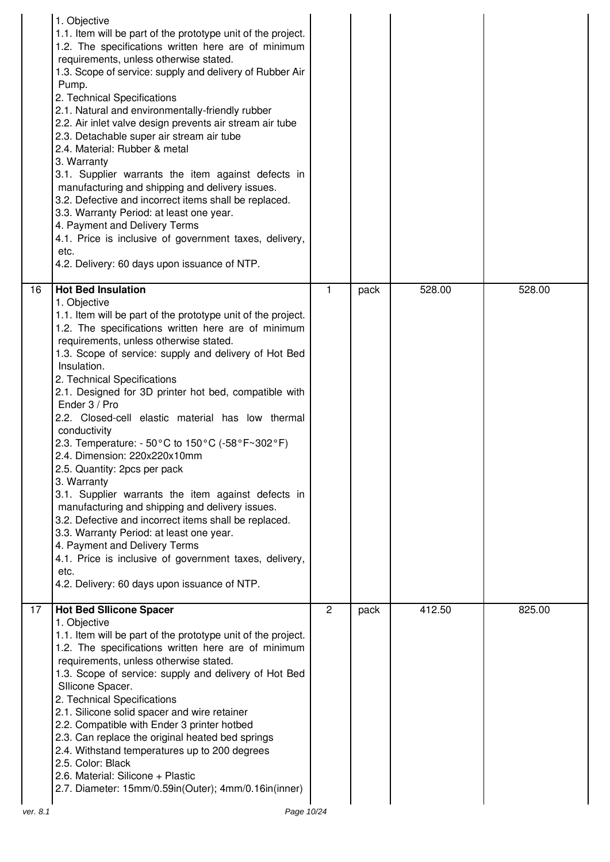|          | 1. Objective<br>1.1. Item will be part of the prototype unit of the project.<br>1.2. The specifications written here are of minimum<br>requirements, unless otherwise stated.<br>1.3. Scope of service: supply and delivery of Rubber Air<br>Pump.<br>2. Technical Specifications<br>2.1. Natural and environmentally-friendly rubber<br>2.2. Air inlet valve design prevents air stream air tube<br>2.3. Detachable super air stream air tube<br>2.4. Material: Rubber & metal<br>3. Warranty<br>3.1. Supplier warrants the item against defects in<br>manufacturing and shipping and delivery issues.<br>3.2. Defective and incorrect items shall be replaced.<br>3.3. Warranty Period: at least one year.<br>4. Payment and Delivery Terms<br>4.1. Price is inclusive of government taxes, delivery,<br>etc.<br>4.2. Delivery: 60 days upon issuance of NTP.                                                                                                                                       |                                |              |                  |                  |
|----------|-------------------------------------------------------------------------------------------------------------------------------------------------------------------------------------------------------------------------------------------------------------------------------------------------------------------------------------------------------------------------------------------------------------------------------------------------------------------------------------------------------------------------------------------------------------------------------------------------------------------------------------------------------------------------------------------------------------------------------------------------------------------------------------------------------------------------------------------------------------------------------------------------------------------------------------------------------------------------------------------------------|--------------------------------|--------------|------------------|------------------|
| 16<br>17 | <b>Hot Bed Insulation</b><br>1. Objective<br>1.1. Item will be part of the prototype unit of the project.<br>1.2. The specifications written here are of minimum<br>requirements, unless otherwise stated.<br>1.3. Scope of service: supply and delivery of Hot Bed<br>Insulation.<br>2. Technical Specifications<br>2.1. Designed for 3D printer hot bed, compatible with<br>Ender 3 / Pro<br>2.2. Closed-cell elastic material has low thermal<br>conductivity<br>2.3. Temperature: - 50°C to 150°C (-58°F~302°F)<br>2.4. Dimension: 220x220x10mm<br>2.5. Quantity: 2pcs per pack<br>3. Warranty<br>3.1. Supplier warrants the item against defects in<br>manufacturing and shipping and delivery issues.<br>3.2. Defective and incorrect items shall be replaced.<br>3.3. Warranty Period: at least one year.<br>4. Payment and Delivery Terms<br>4.1. Price is inclusive of government taxes, delivery,<br>etc.<br>4.2. Delivery: 60 days upon issuance of NTP.<br><b>Hot Bed Sllicone Spacer</b> | $\mathbf{1}$<br>$\overline{c}$ | pack<br>pack | 528.00<br>412.50 | 528.00<br>825.00 |
| ver. 8.1 | 1. Objective<br>1.1. Item will be part of the prototype unit of the project.<br>1.2. The specifications written here are of minimum<br>requirements, unless otherwise stated.<br>1.3. Scope of service: supply and delivery of Hot Bed<br>Sllicone Spacer.<br>2. Technical Specifications<br>2.1. Silicone solid spacer and wire retainer<br>2.2. Compatible with Ender 3 printer hotbed<br>2.3. Can replace the original heated bed springs<br>2.4. Withstand temperatures up to 200 degrees<br>2.5. Color: Black<br>2.6. Material: Silicone + Plastic<br>2.7. Diameter: 15mm/0.59in(Outer); 4mm/0.16in(inner)<br>Page 10/24                                                                                                                                                                                                                                                                                                                                                                         |                                |              |                  |                  |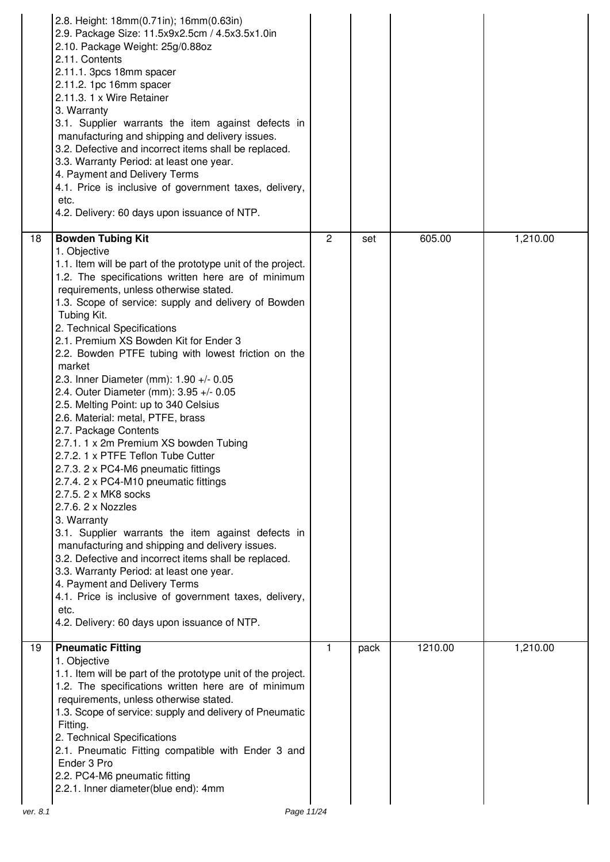|    | 2.8. Height: 18mm(0.71in); 16mm(0.63in)<br>2.9. Package Size: 11.5x9x2.5cm / 4.5x3.5x1.0in<br>2.10. Package Weight: 25g/0.88oz<br>2.11. Contents<br>2.11.1. 3pcs 18mm spacer<br>2.11.2. 1pc 16mm spacer<br>2.11.3. 1 x Wire Retainer<br>3. Warranty<br>3.1. Supplier warrants the item against defects in<br>manufacturing and shipping and delivery issues.<br>3.2. Defective and incorrect items shall be replaced.<br>3.3. Warranty Period: at least one year.<br>4. Payment and Delivery Terms<br>4.1. Price is inclusive of government taxes, delivery,<br>etc.<br>4.2. Delivery: 60 days upon issuance of NTP.                                                                                                                                                                                                                                                                                                                                                                                                                                                                                                                                                                                                   |                |      |         |          |
|----|------------------------------------------------------------------------------------------------------------------------------------------------------------------------------------------------------------------------------------------------------------------------------------------------------------------------------------------------------------------------------------------------------------------------------------------------------------------------------------------------------------------------------------------------------------------------------------------------------------------------------------------------------------------------------------------------------------------------------------------------------------------------------------------------------------------------------------------------------------------------------------------------------------------------------------------------------------------------------------------------------------------------------------------------------------------------------------------------------------------------------------------------------------------------------------------------------------------------|----------------|------|---------|----------|
| 18 | <b>Bowden Tubing Kit</b><br>1. Objective<br>1.1. Item will be part of the prototype unit of the project.<br>1.2. The specifications written here are of minimum<br>requirements, unless otherwise stated.<br>1.3. Scope of service: supply and delivery of Bowden<br>Tubing Kit.<br>2. Technical Specifications<br>2.1. Premium XS Bowden Kit for Ender 3<br>2.2. Bowden PTFE tubing with lowest friction on the<br>market<br>2.3. Inner Diameter (mm): 1.90 +/- 0.05<br>2.4. Outer Diameter (mm): 3.95 +/- 0.05<br>2.5. Melting Point: up to 340 Celsius<br>2.6. Material: metal, PTFE, brass<br>2.7. Package Contents<br>2.7.1. 1 x 2m Premium XS bowden Tubing<br>2.7.2. 1 x PTFE Teflon Tube Cutter<br>2.7.3. 2 x PC4-M6 pneumatic fittings<br>2.7.4. 2 x PC4-M10 pneumatic fittings<br>2.7.5. 2 x MK8 socks<br>2.7.6. 2 x Nozzles<br>3. Warranty<br>3.1. Supplier warrants the item against defects in<br>manufacturing and shipping and delivery issues.<br>3.2. Defective and incorrect items shall be replaced.<br>3.3. Warranty Period: at least one year.<br>4. Payment and Delivery Terms<br>4.1. Price is inclusive of government taxes, delivery,<br>etc.<br>4.2. Delivery: 60 days upon issuance of NTP. | $\overline{2}$ | set  | 605.00  | 1,210.00 |
| 19 | <b>Pneumatic Fitting</b><br>1. Objective<br>1.1. Item will be part of the prototype unit of the project.<br>1.2. The specifications written here are of minimum<br>requirements, unless otherwise stated.<br>1.3. Scope of service: supply and delivery of Pneumatic<br>Fitting.<br>2. Technical Specifications<br>2.1. Pneumatic Fitting compatible with Ender 3 and<br>Ender 3 Pro<br>2.2. PC4-M6 pneumatic fitting<br>2.2.1. Inner diameter(blue end): 4mm                                                                                                                                                                                                                                                                                                                                                                                                                                                                                                                                                                                                                                                                                                                                                          | 1              | pack | 1210.00 | 1,210.00 |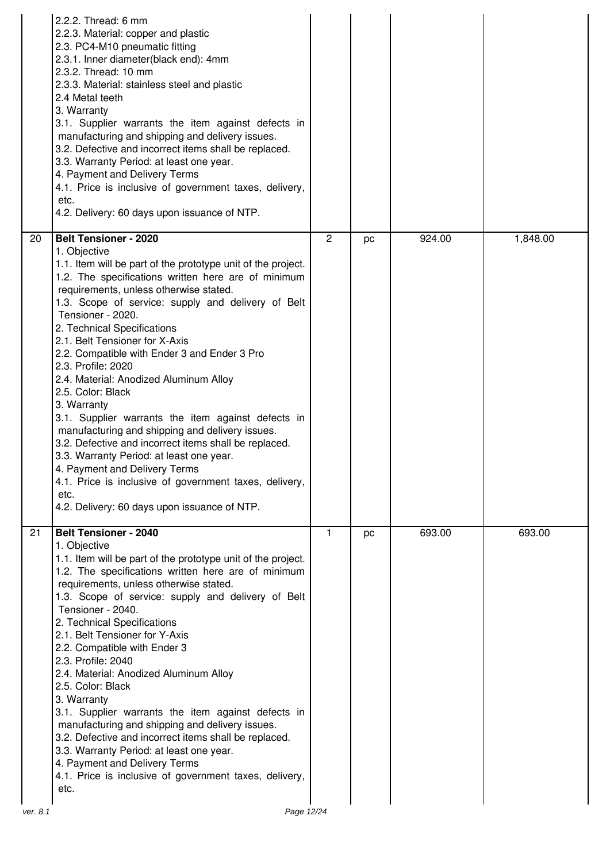|                 | 2.2.2. Thread: 6 mm<br>2.2.3. Material: copper and plastic<br>2.3. PC4-M10 pneumatic fitting<br>2.3.1. Inner diameter(black end): 4mm<br>2.3.2. Thread: 10 mm<br>2.3.3. Material: stainless steel and plastic<br>2.4 Metal teeth<br>3. Warranty<br>3.1. Supplier warrants the item against defects in<br>manufacturing and shipping and delivery issues.<br>3.2. Defective and incorrect items shall be replaced.<br>3.3. Warranty Period: at least one year.<br>4. Payment and Delivery Terms<br>4.1. Price is inclusive of government taxes, delivery,<br>etc.<br>4.2. Delivery: 60 days upon issuance of NTP.                                                                                                                                                                                                                                                               |              |    |        |          |
|-----------------|--------------------------------------------------------------------------------------------------------------------------------------------------------------------------------------------------------------------------------------------------------------------------------------------------------------------------------------------------------------------------------------------------------------------------------------------------------------------------------------------------------------------------------------------------------------------------------------------------------------------------------------------------------------------------------------------------------------------------------------------------------------------------------------------------------------------------------------------------------------------------------|--------------|----|--------|----------|
| 20 <sup>°</sup> | <b>Belt Tensioner - 2020</b><br>1. Objective<br>1.1. Item will be part of the prototype unit of the project.<br>1.2. The specifications written here are of minimum<br>requirements, unless otherwise stated.<br>1.3. Scope of service: supply and delivery of Belt<br>Tensioner - 2020.<br>2. Technical Specifications<br>2.1. Belt Tensioner for X-Axis<br>2.2. Compatible with Ender 3 and Ender 3 Pro<br>2.3. Profile: 2020<br>2.4. Material: Anodized Aluminum Alloy<br>2.5. Color: Black<br>3. Warranty<br>3.1. Supplier warrants the item against defects in<br>manufacturing and shipping and delivery issues.<br>3.2. Defective and incorrect items shall be replaced.<br>3.3. Warranty Period: at least one year.<br>4. Payment and Delivery Terms<br>4.1. Price is inclusive of government taxes, delivery,<br>etc.<br>4.2. Delivery: 60 days upon issuance of NTP. | $\mathbf{2}$ | pc | 924.00 | 1,848.00 |
| 21              | <b>Belt Tensioner - 2040</b><br>1. Objective<br>1.1. Item will be part of the prototype unit of the project.<br>1.2. The specifications written here are of minimum<br>requirements, unless otherwise stated.<br>1.3. Scope of service: supply and delivery of Belt<br>Tensioner - 2040.<br>2. Technical Specifications<br>2.1. Belt Tensioner for Y-Axis<br>2.2. Compatible with Ender 3<br>2.3. Profile: 2040<br>2.4. Material: Anodized Aluminum Alloy<br>2.5. Color: Black<br>3. Warranty<br>3.1. Supplier warrants the item against defects in<br>manufacturing and shipping and delivery issues.<br>3.2. Defective and incorrect items shall be replaced.<br>3.3. Warranty Period: at least one year.<br>4. Payment and Delivery Terms<br>4.1. Price is inclusive of government taxes, delivery,<br>etc.                                                                 | 1            | pc | 693.00 | 693.00   |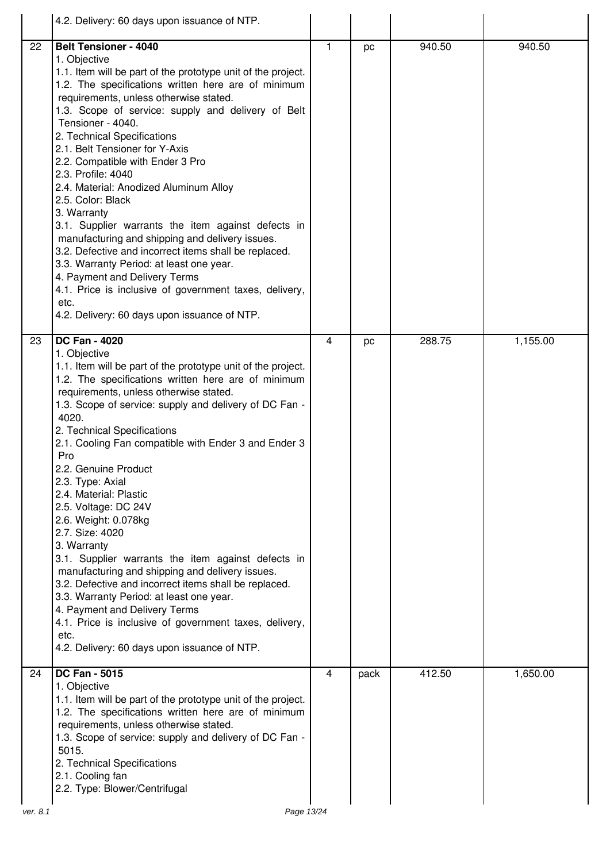|                | 4.2. Delivery: 60 days upon issuance of NTP.                                                                                                                                                                                                                                                                                                                                                                                                                                                                                                                                                                                                                                                                                                                                                                                                                                               |         |          |                  |                    |
|----------------|--------------------------------------------------------------------------------------------------------------------------------------------------------------------------------------------------------------------------------------------------------------------------------------------------------------------------------------------------------------------------------------------------------------------------------------------------------------------------------------------------------------------------------------------------------------------------------------------------------------------------------------------------------------------------------------------------------------------------------------------------------------------------------------------------------------------------------------------------------------------------------------------|---------|----------|------------------|--------------------|
| 22<br>23       | <b>Belt Tensioner - 4040</b><br>1. Objective<br>1.1. Item will be part of the prototype unit of the project.<br>1.2. The specifications written here are of minimum<br>requirements, unless otherwise stated.<br>1.3. Scope of service: supply and delivery of Belt<br>Tensioner - 4040.<br>2. Technical Specifications<br>2.1. Belt Tensioner for Y-Axis<br>2.2. Compatible with Ender 3 Pro<br>2.3. Profile: 4040<br>2.4. Material: Anodized Aluminum Alloy<br>2.5. Color: Black<br>3. Warranty<br>3.1. Supplier warrants the item against defects in<br>manufacturing and shipping and delivery issues.<br>3.2. Defective and incorrect items shall be replaced.<br>3.3. Warranty Period: at least one year.<br>4. Payment and Delivery Terms<br>4.1. Price is inclusive of government taxes, delivery,<br>etc.<br>4.2. Delivery: 60 days upon issuance of NTP.<br><b>DC Fan - 4020</b> | 1.<br>4 | pc<br>pc | 940.50<br>288.75 | 940.50<br>1,155.00 |
|                | 1. Objective<br>1.1. Item will be part of the prototype unit of the project.<br>1.2. The specifications written here are of minimum<br>requirements, unless otherwise stated.<br>1.3. Scope of service: supply and delivery of DC Fan -<br>4020.<br>2. Technical Specifications<br>2.1. Cooling Fan compatible with Ender 3 and Ender 3<br>Pro<br>2.2. Genuine Product<br>2.3. Type: Axial<br>2.4. Material: Plastic<br>2.5. Voltage: DC 24V<br>2.6. Weight: 0.078kg<br>2.7. Size: 4020<br>3. Warranty<br>3.1. Supplier warrants the item against defects in<br>manufacturing and shipping and delivery issues.<br>3.2. Defective and incorrect items shall be replaced.<br>3.3. Warranty Period: at least one year.<br>4. Payment and Delivery Terms<br>4.1. Price is inclusive of government taxes, delivery,<br>etc.<br>4.2. Delivery: 60 days upon issuance of NTP.                    |         |          |                  |                    |
| 24<br>ver. 8.1 | <b>DC Fan - 5015</b><br>1. Objective<br>1.1. Item will be part of the prototype unit of the project.<br>1.2. The specifications written here are of minimum<br>requirements, unless otherwise stated.<br>1.3. Scope of service: supply and delivery of DC Fan -<br>5015.<br>2. Technical Specifications<br>2.1. Cooling fan<br>2.2. Type: Blower/Centrifugal<br>Page 13/24                                                                                                                                                                                                                                                                                                                                                                                                                                                                                                                 | 4       | pack     | 412.50           | 1,650.00           |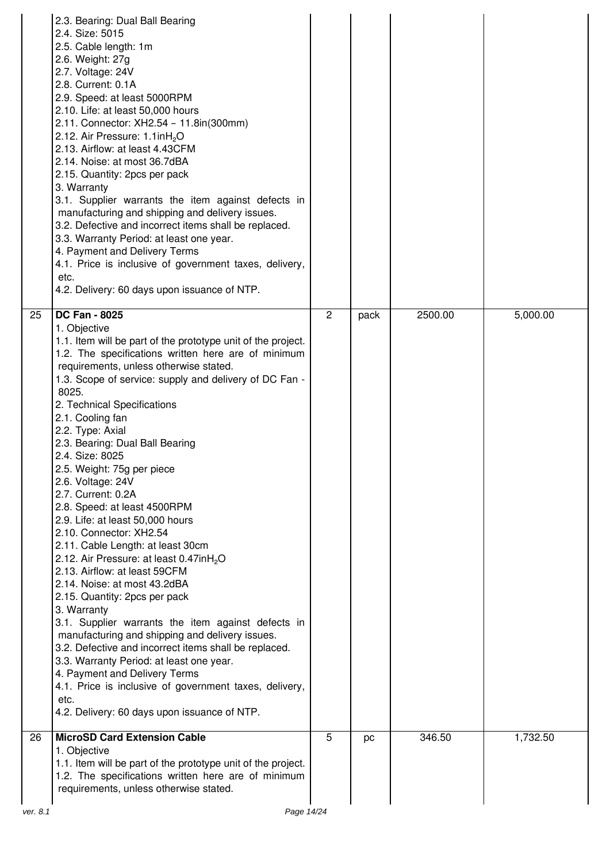|          | 2.3. Bearing: Dual Ball Bearing<br>2.4. Size: 5015<br>2.5. Cable length: 1m<br>2.6. Weight: 27g<br>2.7. Voltage: 24V<br>2.8. Current: 0.1A<br>2.9. Speed: at least 5000RPM<br>2.10. Life: at least 50,000 hours<br>2.11. Connector: XH2.54 - 11.8in(300mm)<br>2.12. Air Pressure: 1.1inH <sub>2</sub> O<br>2.13. Airflow: at least 4.43CFM<br>2.14. Noise: at most 36.7dBA<br>2.15. Quantity: 2pcs per pack<br>3. Warranty<br>3.1. Supplier warrants the item against defects in<br>manufacturing and shipping and delivery issues.<br>3.2. Defective and incorrect items shall be replaced.<br>3.3. Warranty Period: at least one year.<br>4. Payment and Delivery Terms<br>4.1. Price is inclusive of government taxes, delivery,<br>etc.<br>4.2. Delivery: 60 days upon issuance of NTP.                                                                                                                                                                                                                                                                                                                                                                 |   |      |         |          |
|----------|-------------------------------------------------------------------------------------------------------------------------------------------------------------------------------------------------------------------------------------------------------------------------------------------------------------------------------------------------------------------------------------------------------------------------------------------------------------------------------------------------------------------------------------------------------------------------------------------------------------------------------------------------------------------------------------------------------------------------------------------------------------------------------------------------------------------------------------------------------------------------------------------------------------------------------------------------------------------------------------------------------------------------------------------------------------------------------------------------------------------------------------------------------------|---|------|---------|----------|
| 25       | <b>DC Fan - 8025</b><br>1. Objective<br>1.1. Item will be part of the prototype unit of the project.<br>1.2. The specifications written here are of minimum<br>requirements, unless otherwise stated.<br>1.3. Scope of service: supply and delivery of DC Fan -<br>8025.<br>2. Technical Specifications<br>2.1. Cooling fan<br>2.2. Type: Axial<br>2.3. Bearing: Dual Ball Bearing<br>2.4. Size: 8025<br>2.5. Weight: 75g per piece<br>2.6. Voltage: 24V<br>2.7. Current: 0.2A<br>2.8. Speed: at least 4500RPM<br>2.9. Life: at least 50,000 hours<br>2.10. Connector: XH2.54<br>2.11. Cable Length: at least 30cm<br>2.12. Air Pressure: at least 0.47inH <sub>2</sub> O<br>2.13. Airflow: at least 59CFM<br>2.14. Noise: at most 43.2dBA<br>2.15. Quantity: 2pcs per pack<br>3. Warranty<br>3.1. Supplier warrants the item against defects in<br>manufacturing and shipping and delivery issues.<br>3.2. Defective and incorrect items shall be replaced.<br>3.3. Warranty Period: at least one year.<br>4. Payment and Delivery Terms<br>4.1. Price is inclusive of government taxes, delivery,<br>etc.<br>4.2. Delivery: 60 days upon issuance of NTP. | 2 | pack | 2500.00 | 5,000.00 |
| 26       | <b>MicroSD Card Extension Cable</b><br>1. Objective<br>1.1. Item will be part of the prototype unit of the project.<br>1.2. The specifications written here are of minimum<br>requirements, unless otherwise stated.                                                                                                                                                                                                                                                                                                                                                                                                                                                                                                                                                                                                                                                                                                                                                                                                                                                                                                                                        | 5 | pc   | 346.50  | 1,732.50 |
| ver. 8.1 | Page 14/24                                                                                                                                                                                                                                                                                                                                                                                                                                                                                                                                                                                                                                                                                                                                                                                                                                                                                                                                                                                                                                                                                                                                                  |   |      |         |          |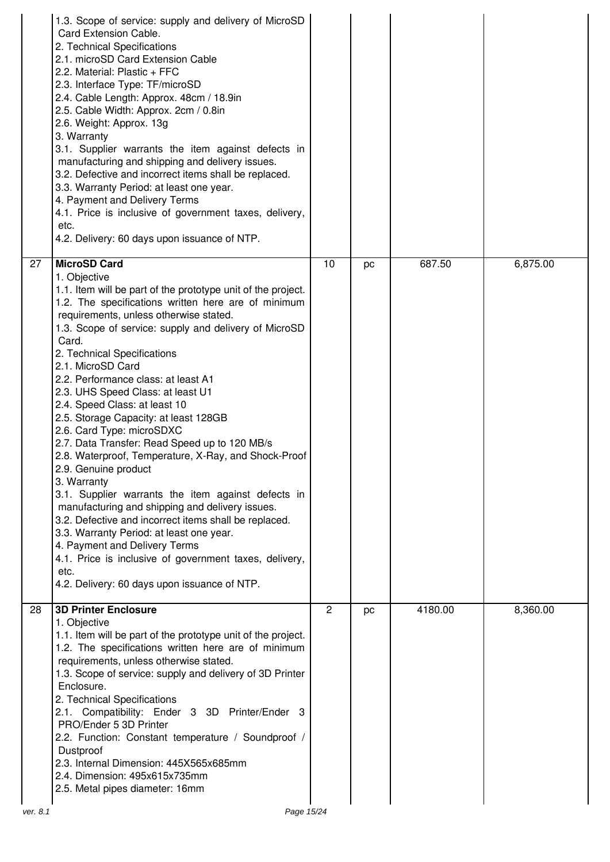|                 | 1.3. Scope of service: supply and delivery of MicroSD<br>Card Extension Cable.<br>2. Technical Specifications<br>2.1. microSD Card Extension Cable<br>2.2. Material: Plastic + FFC<br>2.3. Interface Type: TF/microSD<br>2.4. Cable Length: Approx. 48cm / 18.9in<br>2.5. Cable Width: Approx. 2cm / 0.8in<br>2.6. Weight: Approx. 13g<br>3. Warranty<br>3.1. Supplier warrants the item against defects in<br>manufacturing and shipping and delivery issues.<br>3.2. Defective and incorrect items shall be replaced.<br>3.3. Warranty Period: at least one year.<br>4. Payment and Delivery Terms<br>4.1. Price is inclusive of government taxes, delivery,<br>etc.<br>4.2. Delivery: 60 days upon issuance of NTP.                                                                                                                                                                                                                                                                                                         |                |    |         |          |
|-----------------|--------------------------------------------------------------------------------------------------------------------------------------------------------------------------------------------------------------------------------------------------------------------------------------------------------------------------------------------------------------------------------------------------------------------------------------------------------------------------------------------------------------------------------------------------------------------------------------------------------------------------------------------------------------------------------------------------------------------------------------------------------------------------------------------------------------------------------------------------------------------------------------------------------------------------------------------------------------------------------------------------------------------------------|----------------|----|---------|----------|
| $\overline{27}$ | <b>MicroSD Card</b><br>1. Objective<br>1.1. Item will be part of the prototype unit of the project.<br>1.2. The specifications written here are of minimum<br>requirements, unless otherwise stated.<br>1.3. Scope of service: supply and delivery of MicroSD<br>Card.<br>2. Technical Specifications<br>2.1. MicroSD Card<br>2.2. Performance class: at least A1<br>2.3. UHS Speed Class: at least U1<br>2.4. Speed Class: at least 10<br>2.5. Storage Capacity: at least 128GB<br>2.6. Card Type: microSDXC<br>2.7. Data Transfer: Read Speed up to 120 MB/s<br>2.8. Waterproof, Temperature, X-Ray, and Shock-Proof<br>2.9. Genuine product<br>3. Warranty<br>3.1. Supplier warrants the item against defects in<br>manufacturing and shipping and delivery issues.<br>3.2. Defective and incorrect items shall be replaced.<br>3.3. Warranty Period: at least one year.<br>4. Payment and Delivery Terms<br>4.1. Price is inclusive of government taxes, delivery,<br>etc.<br>4.2. Delivery: 60 days upon issuance of NTP. | 10             | pc | 687.50  | 6,875.00 |
| $\overline{28}$ | <b>3D Printer Enclosure</b><br>1. Objective<br>1.1. Item will be part of the prototype unit of the project.<br>1.2. The specifications written here are of minimum<br>requirements, unless otherwise stated.<br>1.3. Scope of service: supply and delivery of 3D Printer<br>Enclosure.<br>2. Technical Specifications<br>2.1. Compatibility: Ender 3 3D Printer/Ender 3<br>PRO/Ender 5 3D Printer<br>2.2. Function: Constant temperature / Soundproof /<br>Dustproof<br>2.3. Internal Dimension: 445X565x685mm<br>2.4. Dimension: 495x615x735mm<br>2.5. Metal pipes diameter: 16mm                                                                                                                                                                                                                                                                                                                                                                                                                                             | $\overline{2}$ | pc | 4180.00 | 8,360.00 |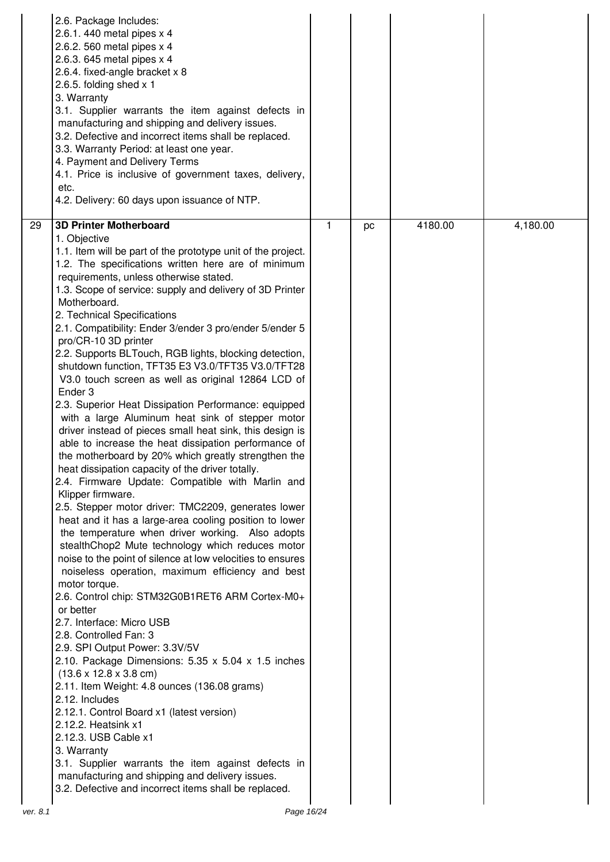| <b>3D Printer Motherboard</b><br>1<br>29<br>pc<br>1. Objective<br>1.1. Item will be part of the prototype unit of the project.<br>1.2. The specifications written here are of minimum<br>requirements, unless otherwise stated.<br>1.3. Scope of service: supply and delivery of 3D Printer<br>Motherboard.<br>2. Technical Specifications<br>2.1. Compatibility: Ender 3/ender 3 pro/ender 5/ender 5<br>pro/CR-10 3D printer<br>2.2. Supports BLTouch, RGB lights, blocking detection,<br>shutdown function, TFT35 E3 V3.0/TFT35 V3.0/TFT28                                                                                                                                                                                                                                                                                                                                                                                                                                                                                                                                                                                                                                                                                                                                                                                                                                                                                                                                                   |         |          |
|------------------------------------------------------------------------------------------------------------------------------------------------------------------------------------------------------------------------------------------------------------------------------------------------------------------------------------------------------------------------------------------------------------------------------------------------------------------------------------------------------------------------------------------------------------------------------------------------------------------------------------------------------------------------------------------------------------------------------------------------------------------------------------------------------------------------------------------------------------------------------------------------------------------------------------------------------------------------------------------------------------------------------------------------------------------------------------------------------------------------------------------------------------------------------------------------------------------------------------------------------------------------------------------------------------------------------------------------------------------------------------------------------------------------------------------------------------------------------------------------|---------|----------|
| V3.0 touch screen as well as original 12864 LCD of<br>Ender <sub>3</sub><br>2.3. Superior Heat Dissipation Performance: equipped<br>with a large Aluminum heat sink of stepper motor<br>driver instead of pieces small heat sink, this design is<br>able to increase the heat dissipation performance of<br>the motherboard by 20% which greatly strengthen the<br>heat dissipation capacity of the driver totally.<br>2.4. Firmware Update: Compatible with Marlin and<br>Klipper firmware.<br>2.5. Stepper motor driver: TMC2209, generates lower<br>heat and it has a large-area cooling position to lower<br>the temperature when driver working. Also adopts<br>stealthChop2 Mute technology which reduces motor<br>noise to the point of silence at low velocities to ensures<br>noiseless operation, maximum efficiency and best<br>motor torque.<br>2.6. Control chip: STM32G0B1RET6 ARM Cortex-M0+<br>or better<br>2.7. Interface: Micro USB<br>2.8. Controlled Fan: 3<br>2.9. SPI Output Power: 3.3V/5V<br>2.10. Package Dimensions: 5.35 x 5.04 x 1.5 inches<br>$(13.6 \times 12.8 \times 3.8 \text{ cm})$<br>2.11. Item Weight: 4.8 ounces (136.08 grams)<br>2.12. Includes<br>2.12.1. Control Board x1 (latest version)<br>2.12.2. Heatsink x1<br>2.12.3. USB Cable x1<br>3. Warranty<br>3.1. Supplier warrants the item against defects in<br>manufacturing and shipping and delivery issues.<br>3.2. Defective and incorrect items shall be replaced.<br>Page 16/24<br>ver. 8.1 | 4180.00 | 4,180.00 |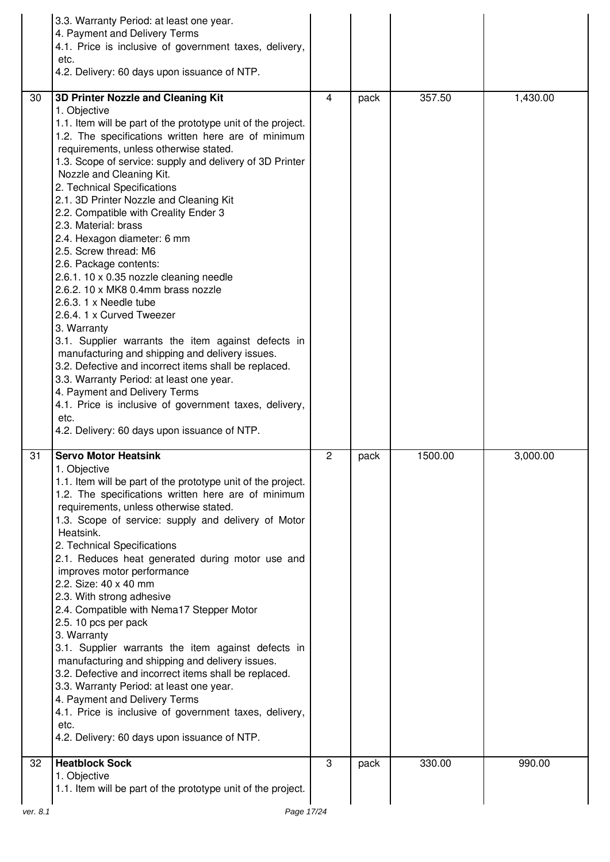|          | 3.3. Warranty Period: at least one year.<br>4. Payment and Delivery Terms<br>4.1. Price is inclusive of government taxes, delivery,<br>etc.<br>4.2. Delivery: 60 days upon issuance of NTP.                                                                                                                                                                                                                                                                                                                                                                                                                                                                                                                                                                                                                                                                                                                                                                                                                                                                      |              |      |         |          |
|----------|------------------------------------------------------------------------------------------------------------------------------------------------------------------------------------------------------------------------------------------------------------------------------------------------------------------------------------------------------------------------------------------------------------------------------------------------------------------------------------------------------------------------------------------------------------------------------------------------------------------------------------------------------------------------------------------------------------------------------------------------------------------------------------------------------------------------------------------------------------------------------------------------------------------------------------------------------------------------------------------------------------------------------------------------------------------|--------------|------|---------|----------|
| 30       | 3D Printer Nozzle and Cleaning Kit<br>1. Objective<br>1.1. Item will be part of the prototype unit of the project.<br>1.2. The specifications written here are of minimum<br>requirements, unless otherwise stated.<br>1.3. Scope of service: supply and delivery of 3D Printer<br>Nozzle and Cleaning Kit.<br>2. Technical Specifications<br>2.1. 3D Printer Nozzle and Cleaning Kit<br>2.2. Compatible with Creality Ender 3<br>2.3. Material: brass<br>2.4. Hexagon diameter: 6 mm<br>2.5. Screw thread: M6<br>2.6. Package contents:<br>2.6.1. 10 x 0.35 nozzle cleaning needle<br>2.6.2. 10 x MK8 0.4mm brass nozzle<br>2.6.3. 1 x Needle tube<br>2.6.4. 1 x Curved Tweezer<br>3. Warranty<br>3.1. Supplier warrants the item against defects in<br>manufacturing and shipping and delivery issues.<br>3.2. Defective and incorrect items shall be replaced.<br>3.3. Warranty Period: at least one year.<br>4. Payment and Delivery Terms<br>4.1. Price is inclusive of government taxes, delivery,<br>etc.<br>4.2. Delivery: 60 days upon issuance of NTP. | 4            | pack | 357.50  | 1,430.00 |
| 31       | <b>Servo Motor Heatsink</b><br>1. Objective<br>1.1. Item will be part of the prototype unit of the project.<br>1.2. The specifications written here are of minimum<br>requirements, unless otherwise stated.<br>1.3. Scope of service: supply and delivery of Motor<br>Heatsink.<br>2. Technical Specifications<br>2.1. Reduces heat generated during motor use and<br>improves motor performance<br>2.2. Size: 40 x 40 mm<br>2.3. With strong adhesive<br>2.4. Compatible with Nema17 Stepper Motor<br>2.5. 10 pcs per pack<br>3. Warranty<br>3.1. Supplier warrants the item against defects in<br>manufacturing and shipping and delivery issues.<br>3.2. Defective and incorrect items shall be replaced.<br>3.3. Warranty Period: at least one year.<br>4. Payment and Delivery Terms<br>4.1. Price is inclusive of government taxes, delivery,<br>etc.<br>4.2. Delivery: 60 days upon issuance of NTP.                                                                                                                                                     | $\mathbf{2}$ | pack | 1500.00 | 3,000.00 |
| 32       | <b>Heatblock Sock</b><br>1. Objective<br>1.1. Item will be part of the prototype unit of the project.                                                                                                                                                                                                                                                                                                                                                                                                                                                                                                                                                                                                                                                                                                                                                                                                                                                                                                                                                            | 3            | pack | 330.00  | 990.00   |
| ver. 8.1 | Page 17/24                                                                                                                                                                                                                                                                                                                                                                                                                                                                                                                                                                                                                                                                                                                                                                                                                                                                                                                                                                                                                                                       |              |      |         |          |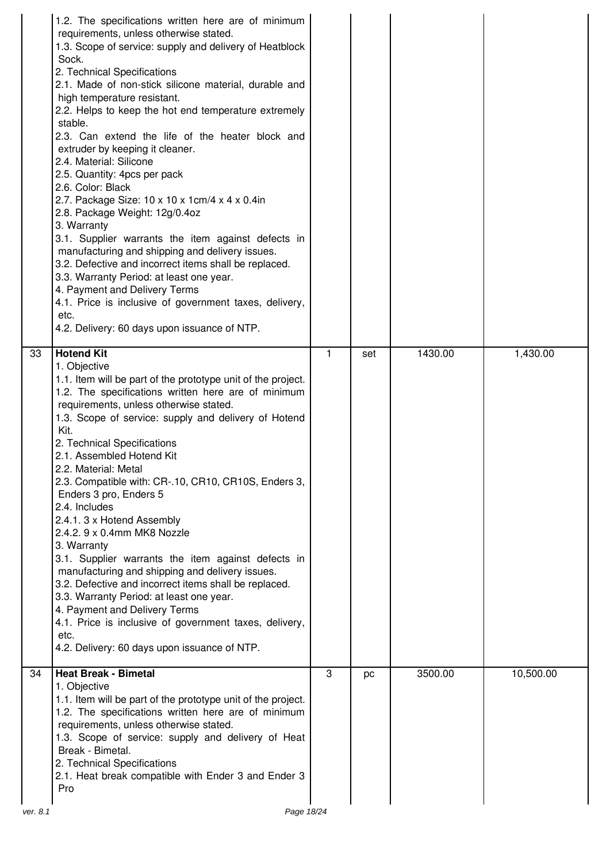|                | 1.2. The specifications written here are of minimum<br>requirements, unless otherwise stated.<br>1.3. Scope of service: supply and delivery of Heatblock<br>Sock.<br>2. Technical Specifications<br>2.1. Made of non-stick silicone material, durable and<br>high temperature resistant.<br>2.2. Helps to keep the hot end temperature extremely<br>stable.<br>2.3. Can extend the life of the heater block and<br>extruder by keeping it cleaner.<br>2.4. Material: Silicone<br>2.5. Quantity: 4pcs per pack<br>2.6. Color: Black<br>2.7. Package Size: 10 x 10 x 1cm/4 x 4 x 0.4in<br>2.8. Package Weight: 12g/0.4oz<br>3. Warranty<br>3.1. Supplier warrants the item against defects in<br>manufacturing and shipping and delivery issues.<br>3.2. Defective and incorrect items shall be replaced.<br>3.3. Warranty Period: at least one year.<br>4. Payment and Delivery Terms<br>4.1. Price is inclusive of government taxes, delivery,<br>etc.<br>4.2. Delivery: 60 days upon issuance of NTP. |   |     |         |           |
|----------------|--------------------------------------------------------------------------------------------------------------------------------------------------------------------------------------------------------------------------------------------------------------------------------------------------------------------------------------------------------------------------------------------------------------------------------------------------------------------------------------------------------------------------------------------------------------------------------------------------------------------------------------------------------------------------------------------------------------------------------------------------------------------------------------------------------------------------------------------------------------------------------------------------------------------------------------------------------------------------------------------------------|---|-----|---------|-----------|
| 33             | <b>Hotend Kit</b><br>1. Objective<br>1.1. Item will be part of the prototype unit of the project.<br>1.2. The specifications written here are of minimum<br>requirements, unless otherwise stated.<br>1.3. Scope of service: supply and delivery of Hotend<br>Kit.<br>2. Technical Specifications<br>2.1. Assembled Hotend Kit<br>2.2. Material: Metal<br>2.3. Compatible with: CR-.10, CR10, CR10S, Enders 3,<br>Enders 3 pro, Enders 5<br>2.4. Includes<br>2.4.1. 3 x Hotend Assembly<br>2.4.2. 9 x 0.4mm MK8 Nozzle<br>3. Warranty<br>3.1. Supplier warrants the item against defects in<br>manufacturing and shipping and delivery issues.<br>3.2. Defective and incorrect items shall be replaced.<br>3.3. Warranty Period: at least one year.<br>4. Payment and Delivery Terms<br>4.1. Price is inclusive of government taxes, delivery,<br>etc.<br>4.2. Delivery: 60 days upon issuance of NTP.                                                                                                 | 1 | set | 1430.00 | 1,430.00  |
| 34<br>ver. 8.1 | <b>Heat Break - Bimetal</b><br>1. Objective<br>1.1. Item will be part of the prototype unit of the project.<br>1.2. The specifications written here are of minimum<br>requirements, unless otherwise stated.<br>1.3. Scope of service: supply and delivery of Heat<br>Break - Bimetal.<br>2. Technical Specifications<br>2.1. Heat break compatible with Ender 3 and Ender 3<br>Pro<br>Page 18/24                                                                                                                                                                                                                                                                                                                                                                                                                                                                                                                                                                                                      | 3 | pc  | 3500.00 | 10,500.00 |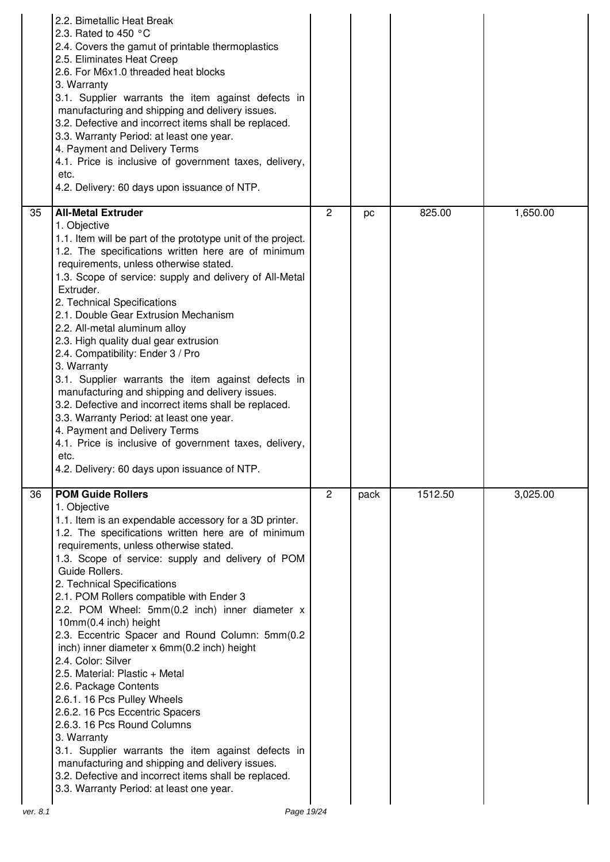|    | 2.2. Bimetallic Heat Break<br>2.3. Rated to 450 $^{\circ}$ C<br>2.4. Covers the gamut of printable thermoplastics<br>2.5. Eliminates Heat Creep<br>2.6. For M6x1.0 threaded heat blocks<br>3. Warranty<br>3.1. Supplier warrants the item against defects in<br>manufacturing and shipping and delivery issues.<br>3.2. Defective and incorrect items shall be replaced.<br>3.3. Warranty Period: at least one year.<br>4. Payment and Delivery Terms<br>4.1. Price is inclusive of government taxes, delivery,<br>etc.<br>4.2. Delivery: 60 days upon issuance of NTP.                                                                                                                                                                                                                                                                                                                                                                           |                |      |         |          |
|----|---------------------------------------------------------------------------------------------------------------------------------------------------------------------------------------------------------------------------------------------------------------------------------------------------------------------------------------------------------------------------------------------------------------------------------------------------------------------------------------------------------------------------------------------------------------------------------------------------------------------------------------------------------------------------------------------------------------------------------------------------------------------------------------------------------------------------------------------------------------------------------------------------------------------------------------------------|----------------|------|---------|----------|
| 35 | <b>All-Metal Extruder</b><br>1. Objective<br>1.1. Item will be part of the prototype unit of the project.<br>1.2. The specifications written here are of minimum<br>requirements, unless otherwise stated.<br>1.3. Scope of service: supply and delivery of All-Metal<br>Extruder.<br>2. Technical Specifications<br>2.1. Double Gear Extrusion Mechanism<br>2.2. All-metal aluminum alloy<br>2.3. High quality dual gear extrusion<br>2.4. Compatibility: Ender 3 / Pro<br>3. Warranty<br>3.1. Supplier warrants the item against defects in<br>manufacturing and shipping and delivery issues.<br>3.2. Defective and incorrect items shall be replaced.<br>3.3. Warranty Period: at least one year.<br>4. Payment and Delivery Terms<br>4.1. Price is inclusive of government taxes, delivery,<br>etc.<br>4.2. Delivery: 60 days upon issuance of NTP                                                                                           | $\overline{2}$ | pc   | 825.00  | 1,650.00 |
| 36 | <b>POM Guide Rollers</b><br>1. Objective<br>1.1. Item is an expendable accessory for a 3D printer.<br>1.2. The specifications written here are of minimum<br>requirements, unless otherwise stated.<br>1.3. Scope of service: supply and delivery of POM<br>Guide Rollers.<br>2. Technical Specifications<br>2.1. POM Rollers compatible with Ender 3<br>2.2. POM Wheel: 5mm(0.2 inch) inner diameter x<br>10mm(0.4 inch) height<br>2.3. Eccentric Spacer and Round Column: 5mm(0.2<br>inch) inner diameter x 6mm(0.2 inch) height<br>2.4. Color: Silver<br>2.5. Material: Plastic + Metal<br>2.6. Package Contents<br>2.6.1. 16 Pcs Pulley Wheels<br>2.6.2. 16 Pcs Eccentric Spacers<br>2.6.3. 16 Pcs Round Columns<br>3. Warranty<br>3.1. Supplier warrants the item against defects in<br>manufacturing and shipping and delivery issues.<br>3.2. Defective and incorrect items shall be replaced.<br>3.3. Warranty Period: at least one year. | $\overline{2}$ | pack | 1512.50 | 3,025.00 |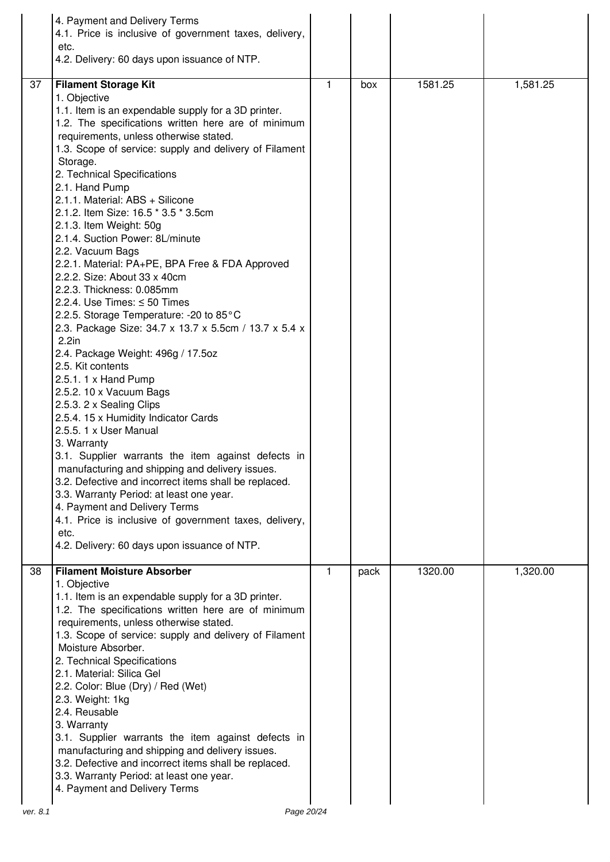|    | 4. Payment and Delivery Terms<br>4.1. Price is inclusive of government taxes, delivery,<br>etc.<br>4.2. Delivery: 60 days upon issuance of NTP.                                                                                                                                                                                                                                                                                                                                                                                                                                                                                                                                                                                                                                                                                                                                                                                                                                                                                                                                                                                                                                                                                                                                                                                                         |    |      |         |          |
|----|---------------------------------------------------------------------------------------------------------------------------------------------------------------------------------------------------------------------------------------------------------------------------------------------------------------------------------------------------------------------------------------------------------------------------------------------------------------------------------------------------------------------------------------------------------------------------------------------------------------------------------------------------------------------------------------------------------------------------------------------------------------------------------------------------------------------------------------------------------------------------------------------------------------------------------------------------------------------------------------------------------------------------------------------------------------------------------------------------------------------------------------------------------------------------------------------------------------------------------------------------------------------------------------------------------------------------------------------------------|----|------|---------|----------|
| 37 | <b>Filament Storage Kit</b><br>1. Objective<br>1.1. Item is an expendable supply for a 3D printer.<br>1.2. The specifications written here are of minimum<br>requirements, unless otherwise stated.<br>1.3. Scope of service: supply and delivery of Filament<br>Storage.<br>2. Technical Specifications<br>2.1. Hand Pump<br>2.1.1. Material: ABS + Silicone<br>2.1.2. Item Size: 16.5 * 3.5 * 3.5cm<br>2.1.3. Item Weight: 50g<br>2.1.4. Suction Power: 8L/minute<br>2.2. Vacuum Bags<br>2.2.1. Material: PA+PE, BPA Free & FDA Approved<br>2.2.2. Size: About 33 x 40cm<br>2.2.3. Thickness: 0.085mm<br>2.2.4. Use Times: $\leq$ 50 Times<br>2.2.5. Storage Temperature: -20 to 85°C<br>2.3. Package Size: 34.7 x 13.7 x 5.5cm / 13.7 x 5.4 x<br>$2.2$ in<br>2.4. Package Weight: 496g / 17.5oz<br>2.5. Kit contents<br>2.5.1. 1 x Hand Pump<br>2.5.2. 10 x Vacuum Bags<br>2.5.3. 2 x Sealing Clips<br>2.5.4. 15 x Humidity Indicator Cards<br>2.5.5.1 x User Manual<br>3. Warranty<br>3.1. Supplier warrants the item against defects in<br>manufacturing and shipping and delivery issues.<br>3.2. Defective and incorrect items shall be replaced.<br>3.3. Warranty Period: at least one year.<br>4. Payment and Delivery Terms<br>4.1. Price is inclusive of government taxes, delivery,<br>etc.<br>4.2. Delivery: 60 days upon issuance of NTP. | 1. | box  | 1581.25 | 1,581.25 |
| 38 | <b>Filament Moisture Absorber</b><br>1. Objective<br>1.1. Item is an expendable supply for a 3D printer.<br>1.2. The specifications written here are of minimum<br>requirements, unless otherwise stated.<br>1.3. Scope of service: supply and delivery of Filament<br>Moisture Absorber.<br>2. Technical Specifications<br>2.1. Material: Silica Gel<br>2.2. Color: Blue (Dry) / Red (Wet)<br>2.3. Weight: 1kg<br>2.4. Reusable<br>3. Warranty<br>3.1. Supplier warrants the item against defects in<br>manufacturing and shipping and delivery issues.<br>3.2. Defective and incorrect items shall be replaced.<br>3.3. Warranty Period: at least one year.<br>4. Payment and Delivery Terms                                                                                                                                                                                                                                                                                                                                                                                                                                                                                                                                                                                                                                                          | 1  | pack | 1320.00 | 1,320.00 |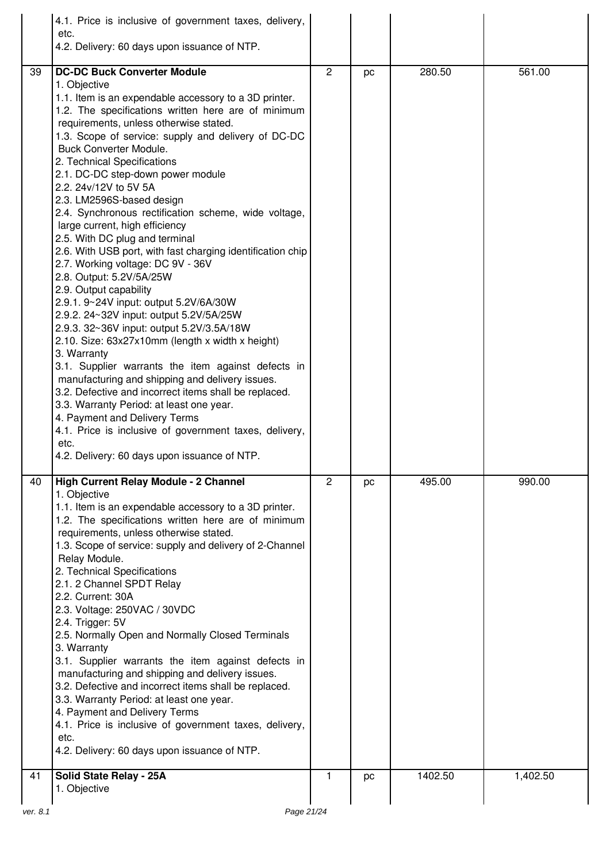|          | 4.1. Price is inclusive of government taxes, delivery,<br>etc.<br>4.2. Delivery: 60 days upon issuance of NTP.                                                                                                                                                                                                                                                                                                                                                                                                                                                                                                                                                                                                                                                                                                                                                                                                                                                                                                                                                                                                                                                                                                                                                                            |              |    |         |          |
|----------|-------------------------------------------------------------------------------------------------------------------------------------------------------------------------------------------------------------------------------------------------------------------------------------------------------------------------------------------------------------------------------------------------------------------------------------------------------------------------------------------------------------------------------------------------------------------------------------------------------------------------------------------------------------------------------------------------------------------------------------------------------------------------------------------------------------------------------------------------------------------------------------------------------------------------------------------------------------------------------------------------------------------------------------------------------------------------------------------------------------------------------------------------------------------------------------------------------------------------------------------------------------------------------------------|--------------|----|---------|----------|
| 39       | <b>DC-DC Buck Converter Module</b><br>1. Objective<br>1.1. Item is an expendable accessory to a 3D printer.<br>1.2. The specifications written here are of minimum<br>requirements, unless otherwise stated.<br>1.3. Scope of service: supply and delivery of DC-DC<br><b>Buck Converter Module.</b><br>2. Technical Specifications<br>2.1. DC-DC step-down power module<br>2.2. 24v/12V to 5V 5A<br>2.3. LM2596S-based design<br>2.4. Synchronous rectification scheme, wide voltage,<br>large current, high efficiency<br>2.5. With DC plug and terminal<br>2.6. With USB port, with fast charging identification chip<br>2.7. Working voltage: DC 9V - 36V<br>2.8. Output: 5.2V/5A/25W<br>2.9. Output capability<br>2.9.1. 9~24V input: output 5.2V/6A/30W<br>2.9.2. 24~32V input: output 5.2V/5A/25W<br>2.9.3. 32~36V input: output 5.2V/3.5A/18W<br>2.10. Size: 63x27x10mm (length x width x height)<br>3. Warranty<br>3.1. Supplier warrants the item against defects in<br>manufacturing and shipping and delivery issues.<br>3.2. Defective and incorrect items shall be replaced.<br>3.3. Warranty Period: at least one year.<br>4. Payment and Delivery Terms<br>4.1. Price is inclusive of government taxes, delivery,<br>etc.<br>4.2. Delivery: 60 days upon issuance of NTP. | $\mathbf{2}$ | pc | 280.50  | 561.00   |
| 40       | High Current Relay Module - 2 Channel<br>1. Objective<br>1.1. Item is an expendable accessory to a 3D printer.<br>1.2. The specifications written here are of minimum<br>requirements, unless otherwise stated.<br>1.3. Scope of service: supply and delivery of 2-Channel<br>Relay Module.<br>2. Technical Specifications<br>2.1. 2 Channel SPDT Relay<br>2.2. Current: 30A<br>2.3. Voltage: 250VAC / 30VDC<br>2.4. Trigger: 5V<br>2.5. Normally Open and Normally Closed Terminals<br>3. Warranty<br>3.1. Supplier warrants the item against defects in<br>manufacturing and shipping and delivery issues.<br>3.2. Defective and incorrect items shall be replaced.<br>3.3. Warranty Period: at least one year.<br>4. Payment and Delivery Terms<br>4.1. Price is inclusive of government taxes, delivery,<br>etc.<br>4.2. Delivery: 60 days upon issuance of NTP.                                                                                                                                                                                                                                                                                                                                                                                                                      | 2            | pc | 495.00  | 990.00   |
| 41       | Solid State Relay - 25A<br>1. Objective                                                                                                                                                                                                                                                                                                                                                                                                                                                                                                                                                                                                                                                                                                                                                                                                                                                                                                                                                                                                                                                                                                                                                                                                                                                   | 1            | pc | 1402.50 | 1,402.50 |
| ver. 8.1 | Page 21/24                                                                                                                                                                                                                                                                                                                                                                                                                                                                                                                                                                                                                                                                                                                                                                                                                                                                                                                                                                                                                                                                                                                                                                                                                                                                                |              |    |         |          |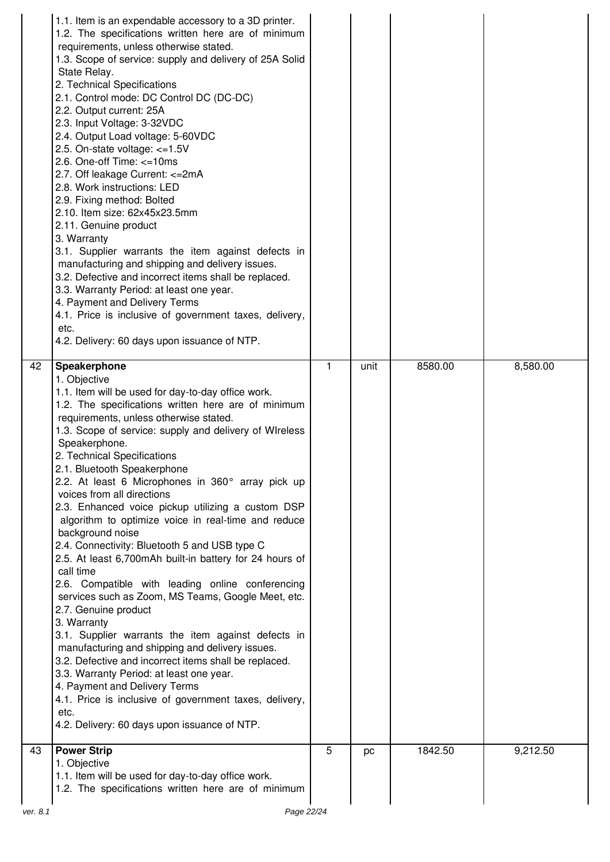|          | 1.1. Item is an expendable accessory to a 3D printer.<br>1.2. The specifications written here are of minimum<br>requirements, unless otherwise stated.<br>1.3. Scope of service: supply and delivery of 25A Solid<br>State Relay.<br>2. Technical Specifications<br>2.1. Control mode: DC Control DC (DC-DC)<br>2.2. Output current: 25A<br>2.3. Input Voltage: 3-32VDC<br>2.4. Output Load voltage: 5-60VDC<br>2.5. On-state voltage: $\lt=1.5V$<br>2.6. One-off Time: $\leq$ =10ms<br>2.7. Off leakage Current: <= 2mA<br>2.8. Work instructions: LED<br>2.9. Fixing method: Bolted<br>2.10. Item size: 62x45x23.5mm<br>2.11. Genuine product<br>3. Warranty<br>3.1. Supplier warrants the item against defects in<br>manufacturing and shipping and delivery issues.<br>3.2. Defective and incorrect items shall be replaced.<br>3.3. Warranty Period: at least one year.<br>4. Payment and Delivery Terms<br>4.1. Price is inclusive of government taxes, delivery,<br>etc.<br>4.2. Delivery: 60 days upon issuance of NTP.                                                                                                                                                            |    |      |         |          |
|----------|--------------------------------------------------------------------------------------------------------------------------------------------------------------------------------------------------------------------------------------------------------------------------------------------------------------------------------------------------------------------------------------------------------------------------------------------------------------------------------------------------------------------------------------------------------------------------------------------------------------------------------------------------------------------------------------------------------------------------------------------------------------------------------------------------------------------------------------------------------------------------------------------------------------------------------------------------------------------------------------------------------------------------------------------------------------------------------------------------------------------------------------------------------------------------------------------|----|------|---------|----------|
| 42       | Speakerphone<br>1. Objective<br>1.1. Item will be used for day-to-day office work.<br>1.2. The specifications written here are of minimum<br>requirements, unless otherwise stated.<br>1.3. Scope of service: supply and delivery of WIreless<br>Speakerphone.<br>2. Technical Specifications<br>2.1. Bluetooth Speakerphone<br>2.2. At least 6 Microphones in 360° array pick up<br>voices from all directions<br>2.3. Enhanced voice pickup utilizing a custom DSP<br>algorithm to optimize voice in real-time and reduce<br>background noise<br>2.4. Connectivity: Bluetooth 5 and USB type C<br>2.5. At least 6,700mAh built-in battery for 24 hours of<br>call time<br>2.6. Compatible with leading online conferencing<br>services such as Zoom, MS Teams, Google Meet, etc.<br>2.7. Genuine product<br>3. Warranty<br>3.1. Supplier warrants the item against defects in<br>manufacturing and shipping and delivery issues.<br>3.2. Defective and incorrect items shall be replaced.<br>3.3. Warranty Period: at least one year.<br>4. Payment and Delivery Terms<br>4.1. Price is inclusive of government taxes, delivery,<br>etc.<br>4.2. Delivery: 60 days upon issuance of NTP. | 1. | unit | 8580.00 | 8,580.00 |
| 43       | <b>Power Strip</b><br>1. Objective<br>1.1. Item will be used for day-to-day office work.<br>1.2. The specifications written here are of minimum                                                                                                                                                                                                                                                                                                                                                                                                                                                                                                                                                                                                                                                                                                                                                                                                                                                                                                                                                                                                                                            | 5  | pc   | 1842.50 | 9,212.50 |
| ver. 8.1 | Page 22/24                                                                                                                                                                                                                                                                                                                                                                                                                                                                                                                                                                                                                                                                                                                                                                                                                                                                                                                                                                                                                                                                                                                                                                                 |    |      |         |          |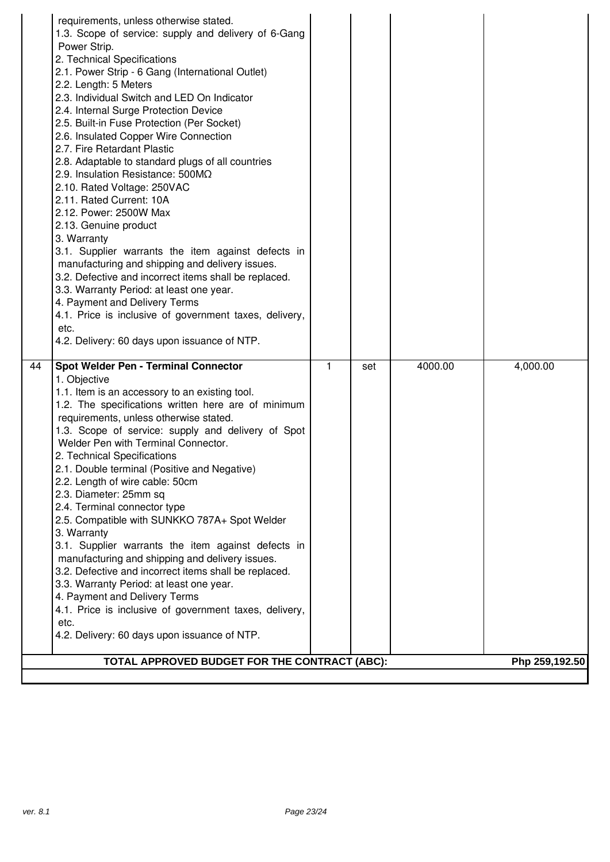|    | 4.1. Price is inclusive of government taxes, delivery,<br>etc.<br>4.2. Delivery: 60 days upon issuance of NTP.                                                                                                                                                                                                                                                                                                                                                                                                                                                                                                                                               |   |     |         |          |
|----|--------------------------------------------------------------------------------------------------------------------------------------------------------------------------------------------------------------------------------------------------------------------------------------------------------------------------------------------------------------------------------------------------------------------------------------------------------------------------------------------------------------------------------------------------------------------------------------------------------------------------------------------------------------|---|-----|---------|----------|
|    | 4. Payment and Delivery Terms                                                                                                                                                                                                                                                                                                                                                                                                                                                                                                                                                                                                                                |   |     |         |          |
|    | 3.2. Defective and incorrect items shall be replaced.<br>3.3. Warranty Period: at least one year.                                                                                                                                                                                                                                                                                                                                                                                                                                                                                                                                                            |   |     |         |          |
|    | manufacturing and shipping and delivery issues.                                                                                                                                                                                                                                                                                                                                                                                                                                                                                                                                                                                                              |   |     |         |          |
|    | 3. Warranty<br>3.1. Supplier warrants the item against defects in                                                                                                                                                                                                                                                                                                                                                                                                                                                                                                                                                                                            |   |     |         |          |
|    | 2.5. Compatible with SUNKKO 787A+ Spot Welder                                                                                                                                                                                                                                                                                                                                                                                                                                                                                                                                                                                                                |   |     |         |          |
|    | 2.4. Terminal connector type                                                                                                                                                                                                                                                                                                                                                                                                                                                                                                                                                                                                                                 |   |     |         |          |
|    | 2.3. Diameter: 25mm sq                                                                                                                                                                                                                                                                                                                                                                                                                                                                                                                                                                                                                                       |   |     |         |          |
|    | 2.1. Double terminal (Positive and Negative)<br>2.2. Length of wire cable: 50cm                                                                                                                                                                                                                                                                                                                                                                                                                                                                                                                                                                              |   |     |         |          |
|    | 2. Technical Specifications                                                                                                                                                                                                                                                                                                                                                                                                                                                                                                                                                                                                                                  |   |     |         |          |
|    | Welder Pen with Terminal Connector.                                                                                                                                                                                                                                                                                                                                                                                                                                                                                                                                                                                                                          |   |     |         |          |
|    | requirements, unless otherwise stated.<br>1.3. Scope of service: supply and delivery of Spot                                                                                                                                                                                                                                                                                                                                                                                                                                                                                                                                                                 |   |     |         |          |
|    | 1.2. The specifications written here are of minimum                                                                                                                                                                                                                                                                                                                                                                                                                                                                                                                                                                                                          |   |     |         |          |
|    | 1.1. Item is an accessory to an existing tool.                                                                                                                                                                                                                                                                                                                                                                                                                                                                                                                                                                                                               |   |     |         |          |
|    | 1. Objective                                                                                                                                                                                                                                                                                                                                                                                                                                                                                                                                                                                                                                                 |   |     |         |          |
| 44 | Spot Welder Pen - Terminal Connector                                                                                                                                                                                                                                                                                                                                                                                                                                                                                                                                                                                                                         | 1 | set | 4000.00 | 4,000.00 |
|    | 2.6. Insulated Copper Wire Connection<br>2.7. Fire Retardant Plastic<br>2.8. Adaptable to standard plugs of all countries<br>2.9. Insulation Resistance: 500MQ<br>2.10. Rated Voltage: 250VAC<br>2.11. Rated Current: 10A<br>2.12. Power: 2500W Max<br>2.13. Genuine product<br>3. Warranty<br>3.1. Supplier warrants the item against defects in<br>manufacturing and shipping and delivery issues.<br>3.2. Defective and incorrect items shall be replaced.<br>3.3. Warranty Period: at least one year.<br>4. Payment and Delivery Terms<br>4.1. Price is inclusive of government taxes, delivery,<br>etc.<br>4.2. Delivery: 60 days upon issuance of NTP. |   |     |         |          |
|    | 2.3. Individual Switch and LED On Indicator<br>2.4. Internal Surge Protection Device<br>2.5. Built-in Fuse Protection (Per Socket)                                                                                                                                                                                                                                                                                                                                                                                                                                                                                                                           |   |     |         |          |
|    | 2. Technical Specifications<br>2.1. Power Strip - 6 Gang (International Outlet)<br>2.2. Length: 5 Meters                                                                                                                                                                                                                                                                                                                                                                                                                                                                                                                                                     |   |     |         |          |
|    | 1.3. Scope of service: supply and delivery of 6-Gang<br>Power Strip.                                                                                                                                                                                                                                                                                                                                                                                                                                                                                                                                                                                         |   |     |         |          |